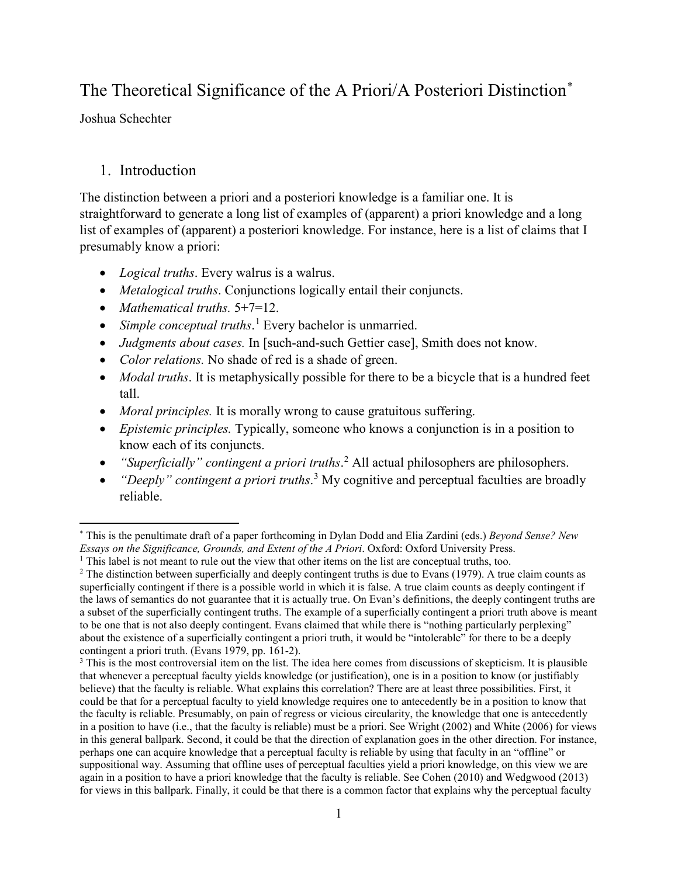# The Theoretical Significance of the A Priori/A Posteriori Distinction[\\*](#page-0-0)

Joshua Schechter

## 1. Introduction

The distinction between a priori and a posteriori knowledge is a familiar one. It is straightforward to generate a long list of examples of (apparent) a priori knowledge and a long list of examples of (apparent) a posteriori knowledge. For instance, here is a list of claims that I presumably know a priori:

- *Logical truths*. Every walrus is a walrus.
- *Metalogical truths*. Conjunctions logically entail their conjuncts.
- *Mathematical truths.* 5+7=12.
- *Simple conceptual truths*. [1](#page-0-1) Every bachelor is unmarried.
- *Judgments about cases.* In [such-and-such Gettier case], Smith does not know.
- *Color relations.* No shade of red is a shade of green.
- *Modal truths*. It is metaphysically possible for there to be a bicycle that is a hundred feet tall.
- *Moral principles.* It is morally wrong to cause gratuitous suffering.
- *Epistemic principles.* Typically, someone who knows a conjunction is in a position to know each of its conjuncts.
- *"Superficially" contingent a priori truths*. [2](#page-0-2) All actual philosophers are philosophers.
- *"Deeply" contingent a priori truths*. [3](#page-0-3) My cognitive and perceptual faculties are broadly reliable.

<span id="page-0-0"></span>l \* This is the penultimate draft of a paper forthcoming in Dylan Dodd and Elia Zardini (eds.) *Beyond Sense? New Essays on the Significance, Grounds, and Extent of the A Priori*. Oxford: Oxford University Press.  $<sup>1</sup>$  This label is not meant to rule out the view that other items on the list are conceptual truths, too.</sup>

<span id="page-0-2"></span><span id="page-0-1"></span><sup>&</sup>lt;sup>2</sup> The distinction between superficially and deeply contingent truths is due to Evans (1979). A true claim counts as superficially contingent if there is a possible world in which it is false. A true claim counts as deeply contingent if the laws of semantics do not guarantee that it is actually true. On Evan's definitions, the deeply contingent truths are a subset of the superficially contingent truths. The example of a superficially contingent a priori truth above is meant to be one that is not also deeply contingent. Evans claimed that while there is "nothing particularly perplexing" about the existence of a superficially contingent a priori truth, it would be "intolerable" for there to be a deeply contingent a priori truth. (Evans 1979, pp. 161-2).

<span id="page-0-3"></span><sup>&</sup>lt;sup>3</sup> This is the most controversial item on the list. The idea here comes from discussions of skepticism. It is plausible that whenever a perceptual faculty yields knowledge (or justification), one is in a position to know (or justifiably believe) that the faculty is reliable. What explains this correlation? There are at least three possibilities. First, it could be that for a perceptual faculty to yield knowledge requires one to antecedently be in a position to know that the faculty is reliable. Presumably, on pain of regress or vicious circularity, the knowledge that one is antecedently in a position to have (i.e., that the faculty is reliable) must be a priori. See Wright (2002) and White (2006) for views in this general ballpark. Second, it could be that the direction of explanation goes in the other direction. For instance, perhaps one can acquire knowledge that a perceptual faculty is reliable by using that faculty in an "offline" or suppositional way. Assuming that offline uses of perceptual faculties yield a priori knowledge, on this view we are again in a position to have a priori knowledge that the faculty is reliable. See Cohen (2010) and Wedgwood (2013) for views in this ballpark. Finally, it could be that there is a common factor that explains why the perceptual faculty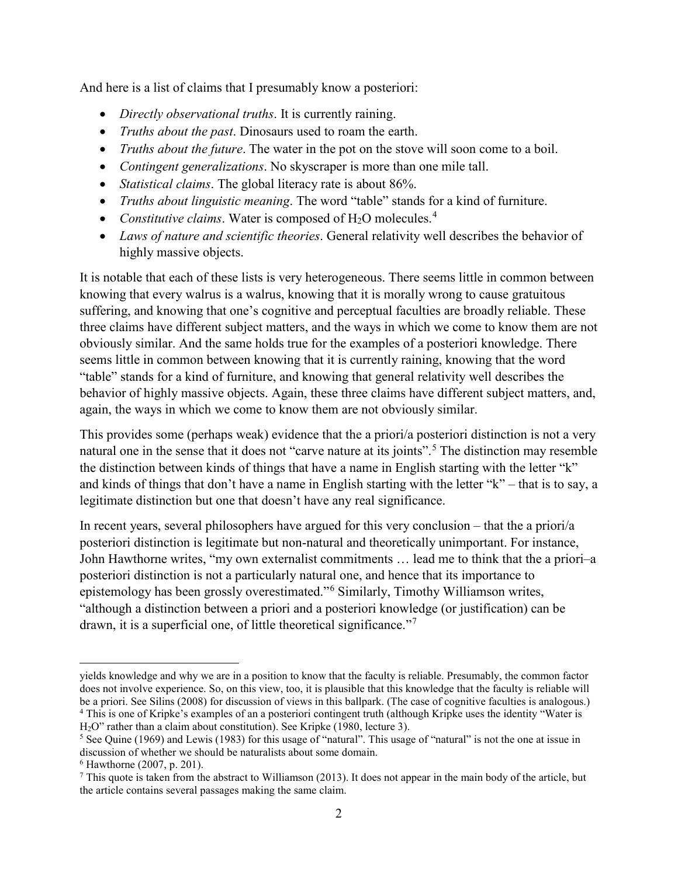And here is a list of claims that I presumably know a posteriori:

- *Directly observational truths*. It is currently raining.
- *Truths about the past*. Dinosaurs used to roam the earth.
- *Truths about the future*. The water in the pot on the stove will soon come to a boil.
- *Contingent generalizations*. No skyscraper is more than one mile tall.
- *Statistical claims*. The global literacy rate is about 86%.
- *Truths about linguistic meaning*. The word "table" stands for a kind of furniture.
- *Constitutive claims*. Water is composed of  $H_2O$  molecules.<sup>[4](#page-1-0)</sup>
- *Laws of nature and scientific theories*. General relativity well describes the behavior of highly massive objects.

It is notable that each of these lists is very heterogeneous. There seems little in common between knowing that every walrus is a walrus, knowing that it is morally wrong to cause gratuitous suffering, and knowing that one's cognitive and perceptual faculties are broadly reliable. These three claims have different subject matters, and the ways in which we come to know them are not obviously similar. And the same holds true for the examples of a posteriori knowledge. There seems little in common between knowing that it is currently raining, knowing that the word "table" stands for a kind of furniture, and knowing that general relativity well describes the behavior of highly massive objects. Again, these three claims have different subject matters, and, again, the ways in which we come to know them are not obviously similar.

This provides some (perhaps weak) evidence that the a priori/a posteriori distinction is not a very natural one in the sense that it does not "carve nature at its joints". [5](#page-1-1) The distinction may resemble the distinction between kinds of things that have a name in English starting with the letter "k" and kinds of things that don't have a name in English starting with the letter "k" – that is to say, a legitimate distinction but one that doesn't have any real significance.

In recent years, several philosophers have argued for this very conclusion – that the a priori/a posteriori distinction is legitimate but non-natural and theoretically unimportant. For instance, John Hawthorne writes, "my own externalist commitments … lead me to think that the a priori–a posteriori distinction is not a particularly natural one, and hence that its importance to epistemology has been grossly overestimated."[6](#page-1-2) Similarly, Timothy Williamson writes, "although a distinction between a priori and a posteriori knowledge (or justification) can be drawn, it is a superficial one, of little theoretical significance."<sup>[7](#page-1-3)</sup>

yields knowledge and why we are in a position to know that the faculty is reliable. Presumably, the common factor does not involve experience. So, on this view, too, it is plausible that this knowledge that the faculty is reliable will be a priori. See Silins (2008) for discussion of views in this ballpark. (The case of cognitive faculties is analogous.) <sup>4</sup> This is one of Kripke's examples of an a posteriori contingent truth (although Kripke uses the identity "Water is

<span id="page-1-0"></span>H2O" rather than a claim about constitution). See Kripke (1980, lecture 3).

<span id="page-1-1"></span><sup>&</sup>lt;sup>5</sup> See Quine (1969) and Lewis (1983) for this usage of "natural". This usage of "natural" is not the one at issue in discussion of whether we should be naturalists about some domain.

<span id="page-1-2"></span><sup>6</sup> Hawthorne (2007, p. 201).

<span id="page-1-3"></span> $^7$  This quote is taken from the abstract to Williamson (2013). It does not appear in the main body of the article, but the article contains several passages making the same claim.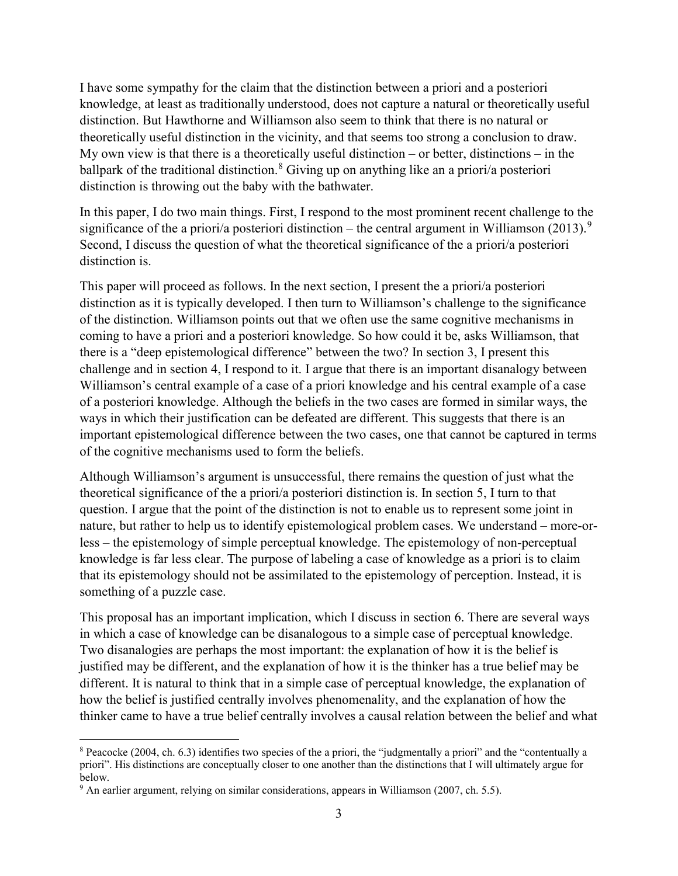I have some sympathy for the claim that the distinction between a priori and a posteriori knowledge, at least as traditionally understood, does not capture a natural or theoretically useful distinction. But Hawthorne and Williamson also seem to think that there is no natural or theoretically useful distinction in the vicinity, and that seems too strong a conclusion to draw. My own view is that there is a theoretically useful distinction – or better, distinctions – in the ballpark of the traditional distinction.<sup>[8](#page-2-0)</sup> Giving up on anything like an a priori/a posteriori distinction is throwing out the baby with the bathwater.

In this paper, I do two main things. First, I respond to the most prominent recent challenge to the significance of the a priori/a posteriori distinction – the central argument in Williamson (2013).<sup>[9](#page-2-1)</sup> Second, I discuss the question of what the theoretical significance of the a priori/a posteriori distinction is.

This paper will proceed as follows. In the next section, I present the a priori/a posteriori distinction as it is typically developed. I then turn to Williamson's challenge to the significance of the distinction. Williamson points out that we often use the same cognitive mechanisms in coming to have a priori and a posteriori knowledge. So how could it be, asks Williamson, that there is a "deep epistemological difference" between the two? In section 3, I present this challenge and in section 4, I respond to it. I argue that there is an important disanalogy between Williamson's central example of a case of a priori knowledge and his central example of a case of a posteriori knowledge. Although the beliefs in the two cases are formed in similar ways, the ways in which their justification can be defeated are different. This suggests that there is an important epistemological difference between the two cases, one that cannot be captured in terms of the cognitive mechanisms used to form the beliefs.

Although Williamson's argument is unsuccessful, there remains the question of just what the theoretical significance of the a priori/a posteriori distinction is. In section 5, I turn to that question. I argue that the point of the distinction is not to enable us to represent some joint in nature, but rather to help us to identify epistemological problem cases. We understand – more-orless – the epistemology of simple perceptual knowledge. The epistemology of non-perceptual knowledge is far less clear. The purpose of labeling a case of knowledge as a priori is to claim that its epistemology should not be assimilated to the epistemology of perception. Instead, it is something of a puzzle case.

This proposal has an important implication, which I discuss in section 6. There are several ways in which a case of knowledge can be disanalogous to a simple case of perceptual knowledge. Two disanalogies are perhaps the most important: the explanation of how it is the belief is justified may be different, and the explanation of how it is the thinker has a true belief may be different. It is natural to think that in a simple case of perceptual knowledge, the explanation of how the belief is justified centrally involves phenomenality, and the explanation of how the thinker came to have a true belief centrally involves a causal relation between the belief and what

<span id="page-2-0"></span><sup>8</sup> Peacocke (2004, ch. 6.3) identifies two species of the a priori, the "judgmentally a priori" and the "contentually a priori". His distinctions are conceptually closer to one another than the distinctions that I will ultimately argue for below.

<span id="page-2-1"></span><sup>9</sup> An earlier argument, relying on similar considerations, appears in Williamson (2007, ch. 5.5).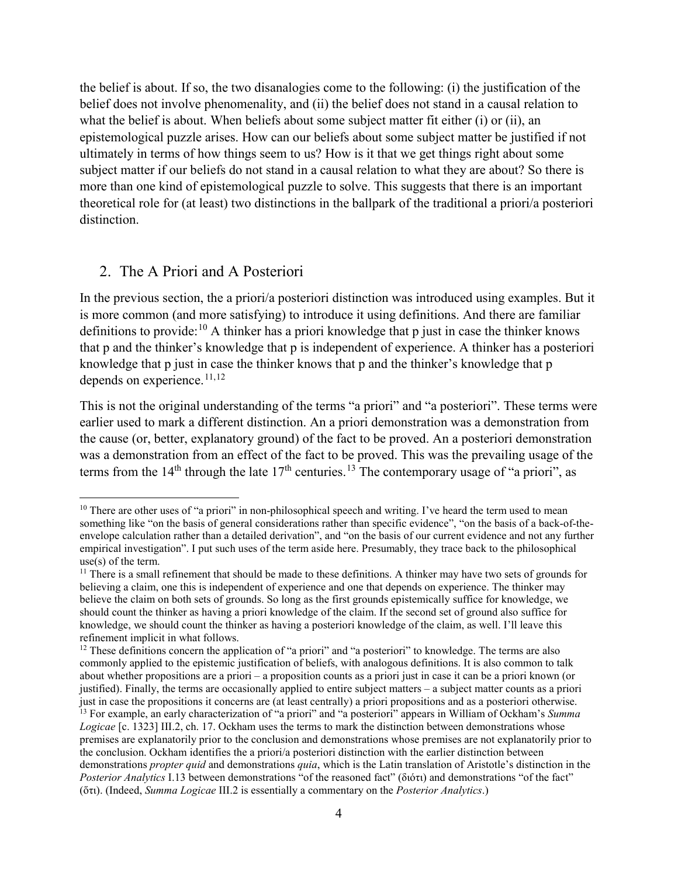the belief is about. If so, the two disanalogies come to the following: (i) the justification of the belief does not involve phenomenality, and (ii) the belief does not stand in a causal relation to what the belief is about. When beliefs about some subject matter fit either (i) or (ii), an epistemological puzzle arises. How can our beliefs about some subject matter be justified if not ultimately in terms of how things seem to us? How is it that we get things right about some subject matter if our beliefs do not stand in a causal relation to what they are about? So there is more than one kind of epistemological puzzle to solve. This suggests that there is an important theoretical role for (at least) two distinctions in the ballpark of the traditional a priori/a posteriori distinction.

### 2. The A Priori and A Posteriori

 $\overline{\phantom{a}}$ 

In the previous section, the a priori/a posteriori distinction was introduced using examples. But it is more common (and more satisfying) to introduce it using definitions. And there are familiar definitions to provide:<sup>[10](#page-3-0)</sup> A thinker has a priori knowledge that p just in case the thinker knows that p and the thinker's knowledge that p is independent of experience. A thinker has a posteriori knowledge that p just in case the thinker knows that p and the thinker's knowledge that p depends on experience.<sup>[11,](#page-3-1)[12](#page-3-2)</sup>

This is not the original understanding of the terms "a priori" and "a posteriori". These terms were earlier used to mark a different distinction. An a priori demonstration was a demonstration from the cause (or, better, explanatory ground) of the fact to be proved. An a posteriori demonstration was a demonstration from an effect of the fact to be proved. This was the prevailing usage of the terms from the 14<sup>th</sup> through the late  $17<sup>th</sup>$  centuries.<sup>[13](#page-3-3)</sup> The contemporary usage of "a priori", as

<span id="page-3-0"></span> $10$  There are other uses of "a priori" in non-philosophical speech and writing. I've heard the term used to mean something like "on the basis of general considerations rather than specific evidence", "on the basis of a back-of-theenvelope calculation rather than a detailed derivation", and "on the basis of our current evidence and not any further empirical investigation". I put such uses of the term aside here. Presumably, they trace back to the philosophical use(s) of the term.

<span id="page-3-1"></span> $11$  There is a small refinement that should be made to these definitions. A thinker may have two sets of grounds for believing a claim, one this is independent of experience and one that depends on experience. The thinker may believe the claim on both sets of grounds. So long as the first grounds epistemically suffice for knowledge, we should count the thinker as having a priori knowledge of the claim. If the second set of ground also suffice for knowledge, we should count the thinker as having a posteriori knowledge of the claim, as well. I'll leave this refinement implicit in what follows.

<span id="page-3-3"></span><span id="page-3-2"></span><sup>&</sup>lt;sup>12</sup> These definitions concern the application of "a priori" and "a posteriori" to knowledge. The terms are also commonly applied to the epistemic justification of beliefs, with analogous definitions. It is also common to talk about whether propositions are a priori – a proposition counts as a priori just in case it can be a priori known (or justified). Finally, the terms are occasionally applied to entire subject matters – a subject matter counts as a priori just in case the propositions it concerns are (at least centrally) a priori propositions and as a posteriori otherwise. <sup>13</sup> For example, an early characterization of "a priori" and "a posteriori" appears in William of Ockham's *Summa Logicae* [c. 1323] III.2, ch. 17. Ockham uses the terms to mark the distinction between demonstrations whose premises are explanatorily prior to the conclusion and demonstrations whose premises are not explanatorily prior to the conclusion. Ockham identifies the a priori/a posteriori distinction with the earlier distinction between demonstrations *propter quid* and demonstrations *quia*, which is the Latin translation of Aristotle's distinction in the *Posterior Analytics* I.13 between demonstrations "of the reasoned fact" (διότι) and demonstrations "of the fact" (ὅτι). (Indeed, *Summa Logicae* III.2 is essentially a commentary on the *Posterior Analytics*.)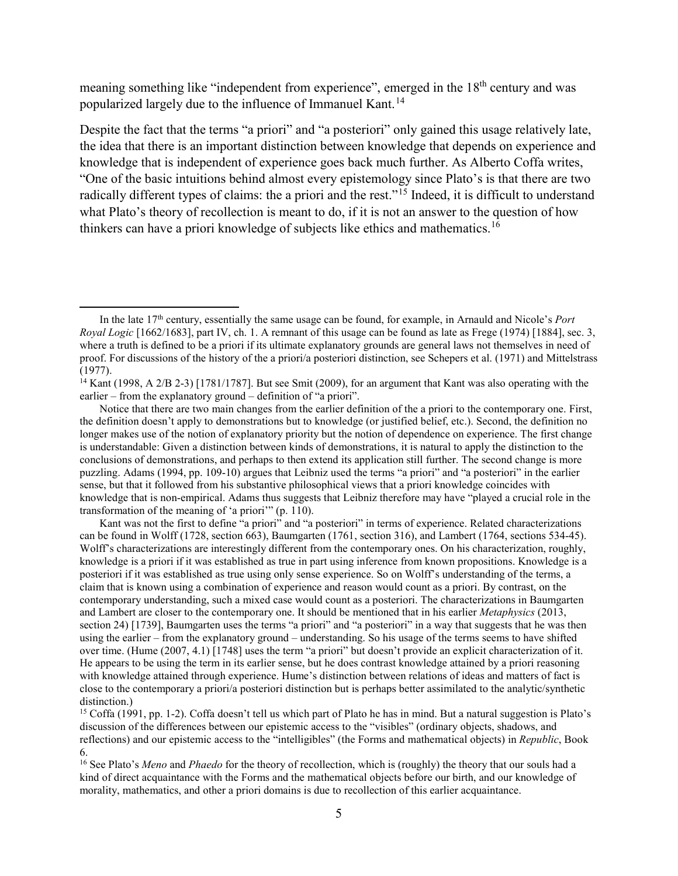meaning something like "independent from experience", emerged in the 18<sup>th</sup> century and was popularized largely due to the influence of Immanuel Kant.<sup>[14](#page-4-0)</sup>

Despite the fact that the terms "a priori" and "a posteriori" only gained this usage relatively late, the idea that there is an important distinction between knowledge that depends on experience and knowledge that is independent of experience goes back much further. As Alberto Coffa writes, "One of the basic intuitions behind almost every epistemology since Plato's is that there are two radically different types of claims: the a priori and the rest."<sup>[15](#page-4-1)</sup> Indeed, it is difficult to understand what Plato's theory of recollection is meant to do, if it is not an answer to the question of how thinkers can have a priori knowledge of subjects like ethics and mathematics.<sup>[16](#page-4-2)</sup>

 $\overline{\phantom{a}}$ 

Kant was not the first to define "a priori" and "a posteriori" in terms of experience. Related characterizations can be found in Wolff (1728, section 663), Baumgarten (1761, section 316), and Lambert (1764, sections 534-45). Wolff's characterizations are interestingly different from the contemporary ones. On his characterization, roughly, knowledge is a priori if it was established as true in part using inference from known propositions. Knowledge is a posteriori if it was established as true using only sense experience. So on Wolff's understanding of the terms, a claim that is known using a combination of experience and reason would count as a priori. By contrast, on the contemporary understanding, such a mixed case would count as a posteriori. The characterizations in Baumgarten and Lambert are closer to the contemporary one. It should be mentioned that in his earlier *Metaphysics* (2013, section 24) [1739], Baumgarten uses the terms "a priori" and "a posteriori" in a way that suggests that he was then using the earlier – from the explanatory ground – understanding. So his usage of the terms seems to have shifted over time. (Hume (2007, 4.1) [1748] uses the term "a priori" but doesn't provide an explicit characterization of it. He appears to be using the term in its earlier sense, but he does contrast knowledge attained by a priori reasoning with knowledge attained through experience. Hume's distinction between relations of ideas and matters of fact is close to the contemporary a priori/a posteriori distinction but is perhaps better assimilated to the analytic/synthetic distinction.)

In the late 17<sup>th</sup> century, essentially the same usage can be found, for example, in Arnauld and Nicole's *Port Royal Logic* [1662/1683], part IV, ch. 1. A remnant of this usage can be found as late as Frege (1974) [1884], sec. 3, where a truth is defined to be a priori if its ultimate explanatory grounds are general laws not themselves in need of proof. For discussions of the history of the a priori/a posteriori distinction, see Schepers et al. (1971) and Mittelstrass (1977).

<span id="page-4-0"></span><sup>&</sup>lt;sup>14</sup> Kant (1998, A 2/B 2-3) [1781/1787]. But see Smit (2009), for an argument that Kant was also operating with the earlier – from the explanatory ground – definition of "a priori".

Notice that there are two main changes from the earlier definition of the a priori to the contemporary one. First, the definition doesn't apply to demonstrations but to knowledge (or justified belief, etc.). Second, the definition no longer makes use of the notion of explanatory priority but the notion of dependence on experience. The first change is understandable: Given a distinction between kinds of demonstrations, it is natural to apply the distinction to the conclusions of demonstrations, and perhaps to then extend its application still further. The second change is more puzzling. Adams (1994, pp. 109-10) argues that Leibniz used the terms "a priori" and "a posteriori" in the earlier sense, but that it followed from his substantive philosophical views that a priori knowledge coincides with knowledge that is non-empirical. Adams thus suggests that Leibniz therefore may have "played a crucial role in the transformation of the meaning of 'a priori'" (p. 110).

<span id="page-4-1"></span><sup>&</sup>lt;sup>15</sup> Coffa (1991, pp. 1-2). Coffa doesn't tell us which part of Plato he has in mind. But a natural suggestion is Plato's discussion of the differences between our epistemic access to the "visibles" (ordinary objects, shadows, and reflections) and our epistemic access to the "intelligibles" (the Forms and mathematical objects) in *Republic*, Book 6.

<span id="page-4-2"></span><sup>16</sup> See Plato's *Meno* and *Phaedo* for the theory of recollection, which is (roughly) the theory that our souls had a kind of direct acquaintance with the Forms and the mathematical objects before our birth, and our knowledge of morality, mathematics, and other a priori domains is due to recollection of this earlier acquaintance.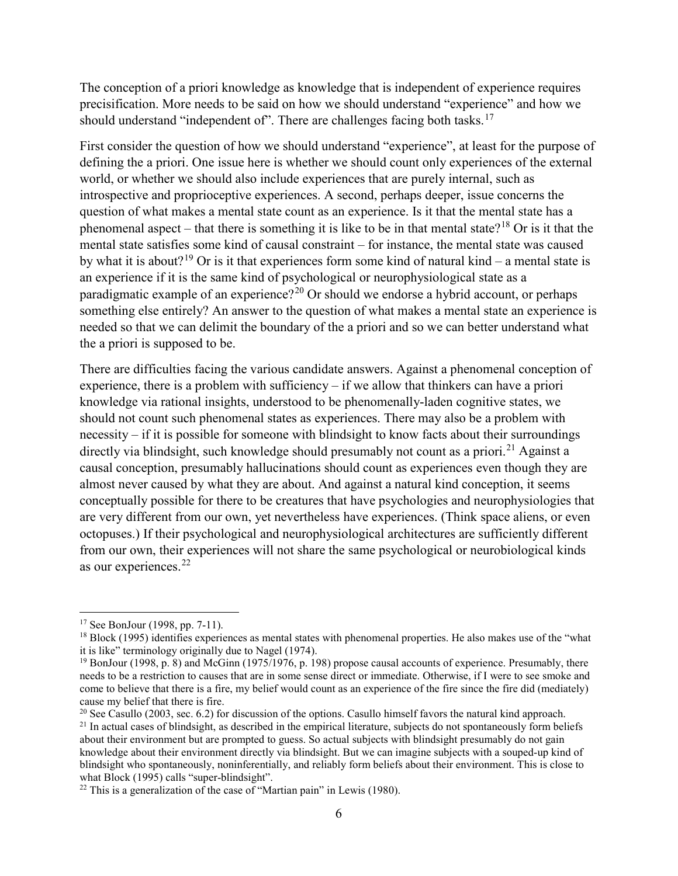The conception of a priori knowledge as knowledge that is independent of experience requires precisification. More needs to be said on how we should understand "experience" and how we should understand "independent of". There are challenges facing both tasks.<sup>[17](#page-5-0)</sup>

First consider the question of how we should understand "experience", at least for the purpose of defining the a priori. One issue here is whether we should count only experiences of the external world, or whether we should also include experiences that are purely internal, such as introspective and proprioceptive experiences. A second, perhaps deeper, issue concerns the question of what makes a mental state count as an experience. Is it that the mental state has a phenomenal aspect – that there is something it is like to be in that mental state?<sup>[18](#page-5-1)</sup> Or is it that the mental state satisfies some kind of causal constraint – for instance, the mental state was caused by what it is about?<sup>[19](#page-5-2)</sup> Or is it that experiences form some kind of natural kind – a mental state is an experience if it is the same kind of psychological or neurophysiological state as a paradigmatic example of an experience?<sup>[20](#page-5-3)</sup> Or should we endorse a hybrid account, or perhaps something else entirely? An answer to the question of what makes a mental state an experience is needed so that we can delimit the boundary of the a priori and so we can better understand what the a priori is supposed to be.

There are difficulties facing the various candidate answers. Against a phenomenal conception of experience, there is a problem with sufficiency – if we allow that thinkers can have a priori knowledge via rational insights, understood to be phenomenally-laden cognitive states, we should not count such phenomenal states as experiences. There may also be a problem with necessity – if it is possible for someone with blindsight to know facts about their surroundings directly via blindsight, such knowledge should presumably not count as a priori.<sup>[21](#page-5-4)</sup> Against a causal conception, presumably hallucinations should count as experiences even though they are almost never caused by what they are about. And against a natural kind conception, it seems conceptually possible for there to be creatures that have psychologies and neurophysiologies that are very different from our own, yet nevertheless have experiences. (Think space aliens, or even octopuses.) If their psychological and neurophysiological architectures are sufficiently different from our own, their experiences will not share the same psychological or neurobiological kinds as our experiences. [22](#page-5-5)

<span id="page-5-0"></span><sup>17</sup> See BonJour (1998, pp. 7-11).

<span id="page-5-1"></span><sup>&</sup>lt;sup>18</sup> Block (1995) identifies experiences as mental states with phenomenal properties. He also makes use of the "what it is like" terminology originally due to Nagel (1974).

<span id="page-5-2"></span><sup>&</sup>lt;sup>19</sup> BonJour (1998, p. 8) and McGinn (1975/1976, p. 198) propose causal accounts of experience. Presumably, there needs to be a restriction to causes that are in some sense direct or immediate. Otherwise, if I were to see smoke and come to believe that there is a fire, my belief would count as an experience of the fire since the fire did (mediately) cause my belief that there is fire.

<span id="page-5-3"></span><sup>&</sup>lt;sup>20</sup> See Casullo (2003, sec. 6.2) for discussion of the options. Casullo himself favors the natural kind approach.

<span id="page-5-4"></span> $21$  In actual cases of blindsight, as described in the empirical literature, subjects do not spontaneously form beliefs about their environment but are prompted to guess. So actual subjects with blindsight presumably do not gain knowledge about their environment directly via blindsight. But we can imagine subjects with a souped-up kind of blindsight who spontaneously, noninferentially, and reliably form beliefs about their environment. This is close to what Block (1995) calls "super-blindsight".

<span id="page-5-5"></span> $22$  This is a generalization of the case of "Martian pain" in Lewis (1980).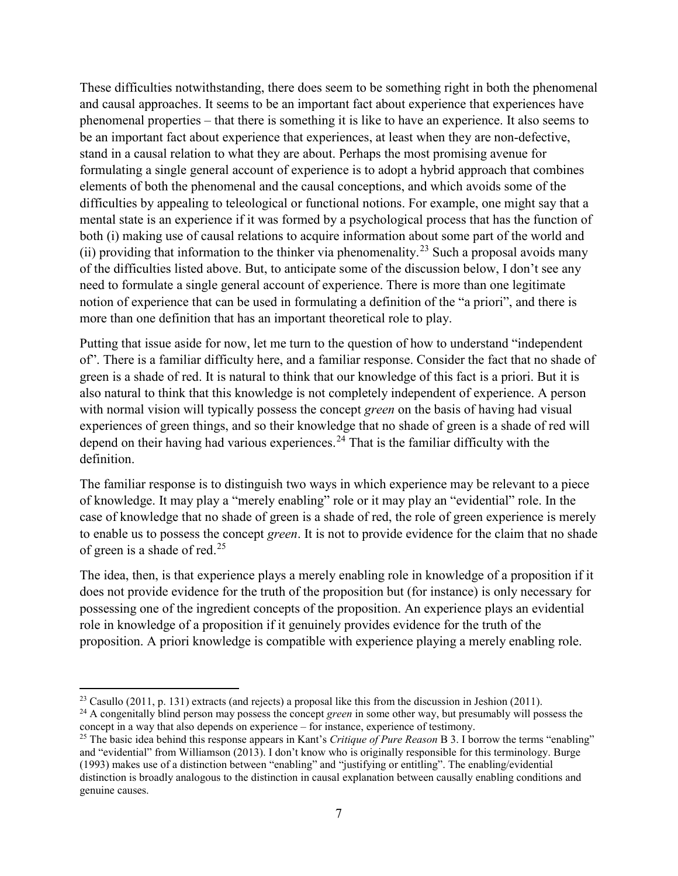These difficulties notwithstanding, there does seem to be something right in both the phenomenal and causal approaches. It seems to be an important fact about experience that experiences have phenomenal properties – that there is something it is like to have an experience. It also seems to be an important fact about experience that experiences, at least when they are non-defective, stand in a causal relation to what they are about. Perhaps the most promising avenue for formulating a single general account of experience is to adopt a hybrid approach that combines elements of both the phenomenal and the causal conceptions, and which avoids some of the difficulties by appealing to teleological or functional notions. For example, one might say that a mental state is an experience if it was formed by a psychological process that has the function of both (i) making use of causal relations to acquire information about some part of the world and (ii) providing that information to the thinker via phenomenality.<sup>[23](#page-6-0)</sup> Such a proposal avoids many of the difficulties listed above. But, to anticipate some of the discussion below, I don't see any need to formulate a single general account of experience. There is more than one legitimate notion of experience that can be used in formulating a definition of the "a priori", and there is more than one definition that has an important theoretical role to play.

Putting that issue aside for now, let me turn to the question of how to understand "independent of". There is a familiar difficulty here, and a familiar response. Consider the fact that no shade of green is a shade of red. It is natural to think that our knowledge of this fact is a priori. But it is also natural to think that this knowledge is not completely independent of experience. A person with normal vision will typically possess the concept *green* on the basis of having had visual experiences of green things, and so their knowledge that no shade of green is a shade of red will depend on their having had various experiences.<sup>[24](#page-6-1)</sup> That is the familiar difficulty with the definition.

The familiar response is to distinguish two ways in which experience may be relevant to a piece of knowledge. It may play a "merely enabling" role or it may play an "evidential" role. In the case of knowledge that no shade of green is a shade of red, the role of green experience is merely to enable us to possess the concept *green*. It is not to provide evidence for the claim that no shade of green is a shade of red.<sup>[25](#page-6-2)</sup>

The idea, then, is that experience plays a merely enabling role in knowledge of a proposition if it does not provide evidence for the truth of the proposition but (for instance) is only necessary for possessing one of the ingredient concepts of the proposition. An experience plays an evidential role in knowledge of a proposition if it genuinely provides evidence for the truth of the proposition. A priori knowledge is compatible with experience playing a merely enabling role.

<span id="page-6-0"></span><sup>&</sup>lt;sup>23</sup> Casullo (2011, p. 131) extracts (and rejects) a proposal like this from the discussion in Jeshion (2011).

<span id="page-6-1"></span><sup>24</sup> A congenitally blind person may possess the concept *green* in some other way, but presumably will possess the concept in a way that also depends on experience – for instance, experience of testimony.

<span id="page-6-2"></span><sup>25</sup> The basic idea behind this response appears in Kant's *Critique of Pure Reason* B 3. I borrow the terms "enabling" and "evidential" from Williamson (2013). I don't know who is originally responsible for this terminology. Burge (1993) makes use of a distinction between "enabling" and "justifying or entitling". The enabling/evidential distinction is broadly analogous to the distinction in causal explanation between causally enabling conditions and genuine causes.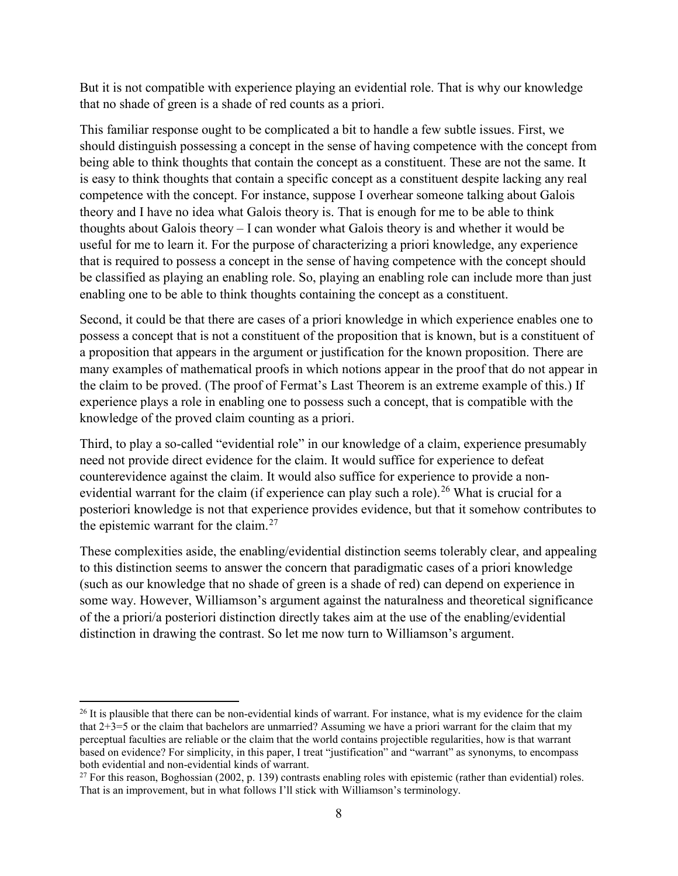But it is not compatible with experience playing an evidential role. That is why our knowledge that no shade of green is a shade of red counts as a priori.

This familiar response ought to be complicated a bit to handle a few subtle issues. First, we should distinguish possessing a concept in the sense of having competence with the concept from being able to think thoughts that contain the concept as a constituent. These are not the same. It is easy to think thoughts that contain a specific concept as a constituent despite lacking any real competence with the concept. For instance, suppose I overhear someone talking about Galois theory and I have no idea what Galois theory is. That is enough for me to be able to think thoughts about Galois theory – I can wonder what Galois theory is and whether it would be useful for me to learn it. For the purpose of characterizing a priori knowledge, any experience that is required to possess a concept in the sense of having competence with the concept should be classified as playing an enabling role. So, playing an enabling role can include more than just enabling one to be able to think thoughts containing the concept as a constituent.

Second, it could be that there are cases of a priori knowledge in which experience enables one to possess a concept that is not a constituent of the proposition that is known, but is a constituent of a proposition that appears in the argument or justification for the known proposition. There are many examples of mathematical proofs in which notions appear in the proof that do not appear in the claim to be proved. (The proof of Fermat's Last Theorem is an extreme example of this.) If experience plays a role in enabling one to possess such a concept, that is compatible with the knowledge of the proved claim counting as a priori.

Third, to play a so-called "evidential role" in our knowledge of a claim, experience presumably need not provide direct evidence for the claim. It would suffice for experience to defeat counterevidence against the claim. It would also suffice for experience to provide a non-evidential warrant for the claim (if experience can play such a role).<sup>[26](#page-7-0)</sup> What is crucial for a posteriori knowledge is not that experience provides evidence, but that it somehow contributes to the epistemic warrant for the claim. $27$ 

These complexities aside, the enabling/evidential distinction seems tolerably clear, and appealing to this distinction seems to answer the concern that paradigmatic cases of a priori knowledge (such as our knowledge that no shade of green is a shade of red) can depend on experience in some way. However, Williamson's argument against the naturalness and theoretical significance of the a priori/a posteriori distinction directly takes aim at the use of the enabling/evidential distinction in drawing the contrast. So let me now turn to Williamson's argument.

<span id="page-7-0"></span> $^{26}$  It is plausible that there can be non-evidential kinds of warrant. For instance, what is my evidence for the claim that 2+3=5 or the claim that bachelors are unmarried? Assuming we have a priori warrant for the claim that my perceptual faculties are reliable or the claim that the world contains projectible regularities, how is that warrant based on evidence? For simplicity, in this paper, I treat "justification" and "warrant" as synonyms, to encompass both evidential and non-evidential kinds of warrant.

<span id="page-7-1"></span> $27$  For this reason, Boghossian (2002, p. 139) contrasts enabling roles with epistemic (rather than evidential) roles. That is an improvement, but in what follows I'll stick with Williamson's terminology.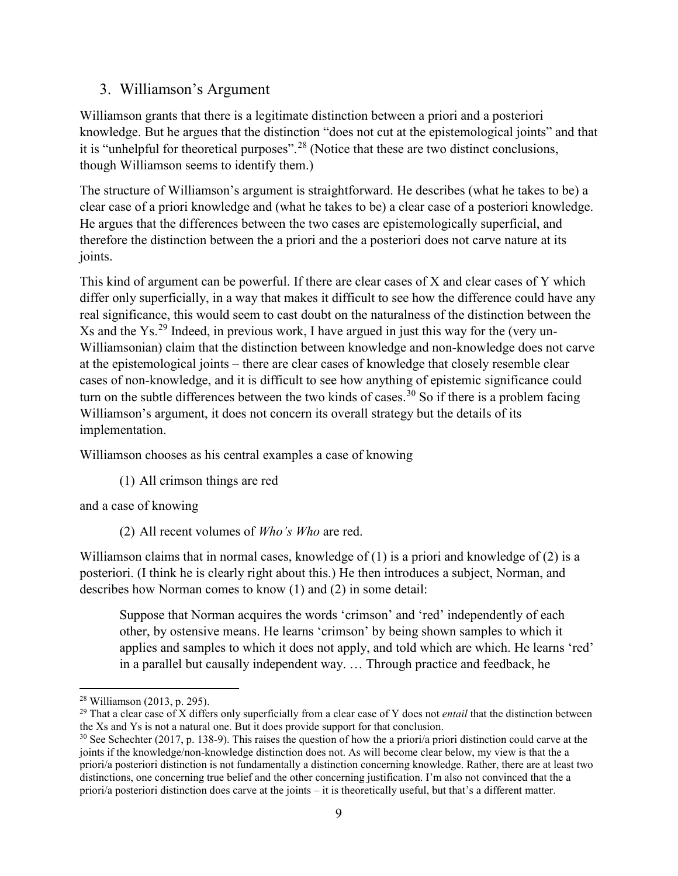### 3. Williamson's Argument

Williamson grants that there is a legitimate distinction between a priori and a posteriori knowledge. But he argues that the distinction "does not cut at the epistemological joints" and that it is "unhelpful for theoretical purposes".[28](#page-8-0) (Notice that these are two distinct conclusions, though Williamson seems to identify them.)

The structure of Williamson's argument is straightforward. He describes (what he takes to be) a clear case of a priori knowledge and (what he takes to be) a clear case of a posteriori knowledge. He argues that the differences between the two cases are epistemologically superficial, and therefore the distinction between the a priori and the a posteriori does not carve nature at its joints.

This kind of argument can be powerful. If there are clear cases of X and clear cases of Y which differ only superficially, in a way that makes it difficult to see how the difference could have any real significance, this would seem to cast doubt on the naturalness of the distinction between the  $Xs$  and the Ys.<sup>[29](#page-8-1)</sup> Indeed, in previous work, I have argued in just this way for the (very un-Williamsonian) claim that the distinction between knowledge and non-knowledge does not carve at the epistemological joints – there are clear cases of knowledge that closely resemble clear cases of non-knowledge, and it is difficult to see how anything of epistemic significance could turn on the subtle differences between the two kinds of cases.<sup>[30](#page-8-2)</sup> So if there is a problem facing Williamson's argument, it does not concern its overall strategy but the details of its implementation.

Williamson chooses as his central examples a case of knowing

(1) All crimson things are red

and a case of knowing

(2) All recent volumes of *Who's Who* are red.

Williamson claims that in normal cases, knowledge of  $(1)$  is a priori and knowledge of  $(2)$  is a posteriori. (I think he is clearly right about this.) He then introduces a subject, Norman, and describes how Norman comes to know (1) and (2) in some detail:

Suppose that Norman acquires the words 'crimson' and 'red' independently of each other, by ostensive means. He learns 'crimson' by being shown samples to which it applies and samples to which it does not apply, and told which are which. He learns 'red' in a parallel but causally independent way. … Through practice and feedback, he

<span id="page-8-0"></span><sup>28</sup> Williamson (2013, p. 295).

<span id="page-8-1"></span><sup>&</sup>lt;sup>29</sup> That a clear case of X differs only superficially from a clear case of Y does not *entail* that the distinction between the Xs and Ys is not a natural one. But it does provide support for that conclusion.

<span id="page-8-2"></span> $30$  See Schechter (2017, p. 138-9). This raises the question of how the a priori/a priori distinction could carve at the joints if the knowledge/non-knowledge distinction does not. As will become clear below, my view is that the a priori/a posteriori distinction is not fundamentally a distinction concerning knowledge. Rather, there are at least two distinctions, one concerning true belief and the other concerning justification. I'm also not convinced that the a priori/a posteriori distinction does carve at the joints – it is theoretically useful, but that's a different matter.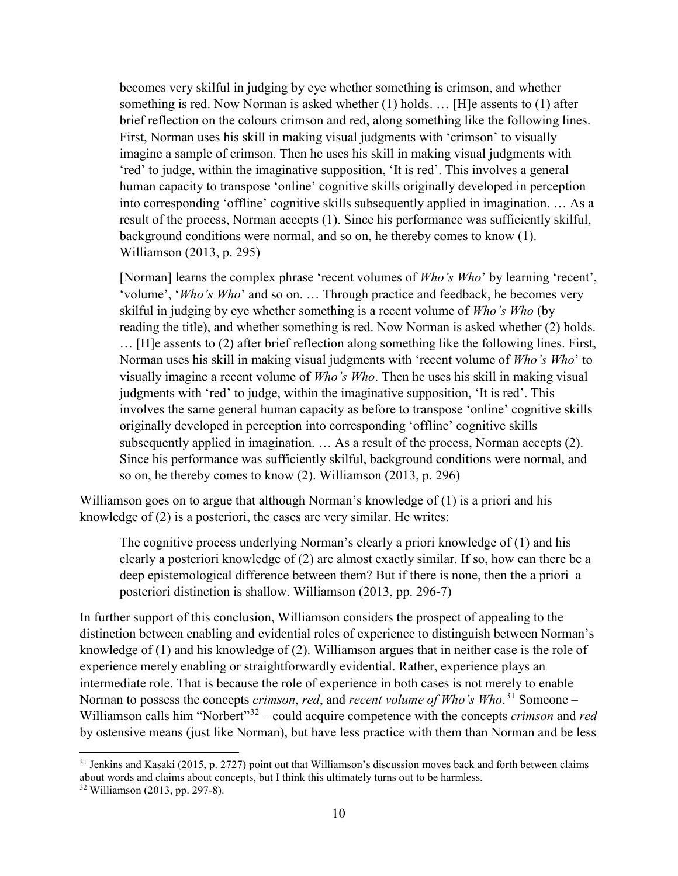becomes very skilful in judging by eye whether something is crimson, and whether something is red. Now Norman is asked whether (1) holds. … [H]e assents to (1) after brief reflection on the colours crimson and red, along something like the following lines. First, Norman uses his skill in making visual judgments with 'crimson' to visually imagine a sample of crimson. Then he uses his skill in making visual judgments with 'red' to judge, within the imaginative supposition, 'It is red'. This involves a general human capacity to transpose 'online' cognitive skills originally developed in perception into corresponding 'offline' cognitive skills subsequently applied in imagination. … As a result of the process, Norman accepts (1). Since his performance was sufficiently skilful, background conditions were normal, and so on, he thereby comes to know (1). Williamson (2013, p. 295)

[Norman] learns the complex phrase 'recent volumes of *Who's Who*' by learning 'recent', 'volume', '*Who's Who*' and so on. … Through practice and feedback, he becomes very skilful in judging by eye whether something is a recent volume of *Who's Who* (by reading the title), and whether something is red. Now Norman is asked whether (2) holds. … [H]e assents to (2) after brief reflection along something like the following lines. First, Norman uses his skill in making visual judgments with 'recent volume of *Who's Who*' to visually imagine a recent volume of *Who's Who*. Then he uses his skill in making visual judgments with 'red' to judge, within the imaginative supposition, 'It is red'. This involves the same general human capacity as before to transpose 'online' cognitive skills originally developed in perception into corresponding 'offline' cognitive skills subsequently applied in imagination. … As a result of the process, Norman accepts (2). Since his performance was sufficiently skilful, background conditions were normal, and so on, he thereby comes to know (2). Williamson (2013, p. 296)

Williamson goes on to argue that although Norman's knowledge of (1) is a priori and his knowledge of (2) is a posteriori, the cases are very similar. He writes:

The cognitive process underlying Norman's clearly a priori knowledge of (1) and his clearly a posteriori knowledge of (2) are almost exactly similar. If so, how can there be a deep epistemological difference between them? But if there is none, then the a priori–a posteriori distinction is shallow. Williamson (2013, pp. 296-7)

In further support of this conclusion, Williamson considers the prospect of appealing to the distinction between enabling and evidential roles of experience to distinguish between Norman's knowledge of (1) and his knowledge of (2). Williamson argues that in neither case is the role of experience merely enabling or straightforwardly evidential. Rather, experience plays an intermediate role. That is because the role of experience in both cases is not merely to enable Norman to possess the concepts *crimson*, *red*, and *recent volume of Who's Who*. [31](#page-9-0) Someone – Williamson calls him "Norbert"[32](#page-9-1) – could acquire competence with the concepts *crimson* and *red* by ostensive means (just like Norman), but have less practice with them than Norman and be less

<span id="page-9-0"></span><sup>&</sup>lt;sup>31</sup> Jenkins and Kasaki (2015, p. 2727) point out that Williamson's discussion moves back and forth between claims about words and claims about concepts, but I think this ultimately turns out to be harmless.

<span id="page-9-1"></span><sup>32</sup> Williamson (2013, pp. 297-8).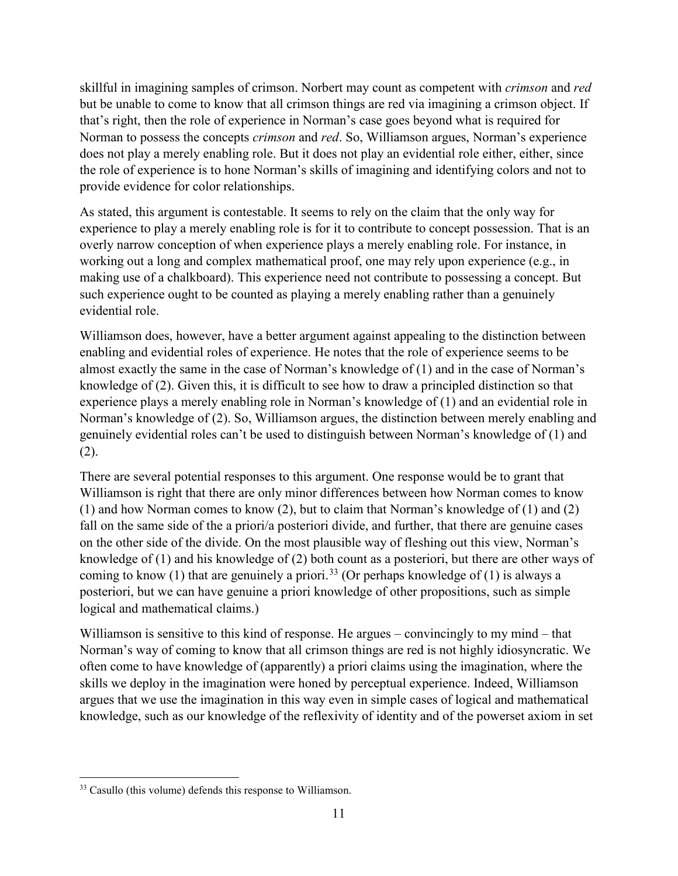skillful in imagining samples of crimson. Norbert may count as competent with *crimson* and *red* but be unable to come to know that all crimson things are red via imagining a crimson object. If that's right, then the role of experience in Norman's case goes beyond what is required for Norman to possess the concepts *crimson* and *red*. So, Williamson argues, Norman's experience does not play a merely enabling role. But it does not play an evidential role either, either, since the role of experience is to hone Norman's skills of imagining and identifying colors and not to provide evidence for color relationships.

As stated, this argument is contestable. It seems to rely on the claim that the only way for experience to play a merely enabling role is for it to contribute to concept possession. That is an overly narrow conception of when experience plays a merely enabling role. For instance, in working out a long and complex mathematical proof, one may rely upon experience (e.g., in making use of a chalkboard). This experience need not contribute to possessing a concept. But such experience ought to be counted as playing a merely enabling rather than a genuinely evidential role.

Williamson does, however, have a better argument against appealing to the distinction between enabling and evidential roles of experience. He notes that the role of experience seems to be almost exactly the same in the case of Norman's knowledge of (1) and in the case of Norman's knowledge of (2). Given this, it is difficult to see how to draw a principled distinction so that experience plays a merely enabling role in Norman's knowledge of (1) and an evidential role in Norman's knowledge of (2). So, Williamson argues, the distinction between merely enabling and genuinely evidential roles can't be used to distinguish between Norman's knowledge of (1) and (2).

There are several potential responses to this argument. One response would be to grant that Williamson is right that there are only minor differences between how Norman comes to know (1) and how Norman comes to know (2), but to claim that Norman's knowledge of (1) and (2) fall on the same side of the a priori/a posteriori divide, and further, that there are genuine cases on the other side of the divide. On the most plausible way of fleshing out this view, Norman's knowledge of (1) and his knowledge of (2) both count as a posteriori, but there are other ways of coming to know (1) that are genuinely a priori.<sup>[33](#page-10-0)</sup> (Or perhaps knowledge of (1) is always a posteriori, but we can have genuine a priori knowledge of other propositions, such as simple logical and mathematical claims.)

Williamson is sensitive to this kind of response. He argues – convincingly to my mind – that Norman's way of coming to know that all crimson things are red is not highly idiosyncratic. We often come to have knowledge of (apparently) a priori claims using the imagination, where the skills we deploy in the imagination were honed by perceptual experience. Indeed, Williamson argues that we use the imagination in this way even in simple cases of logical and mathematical knowledge, such as our knowledge of the reflexivity of identity and of the powerset axiom in set

<span id="page-10-0"></span><sup>&</sup>lt;sup>33</sup> Casullo (this volume) defends this response to Williamson.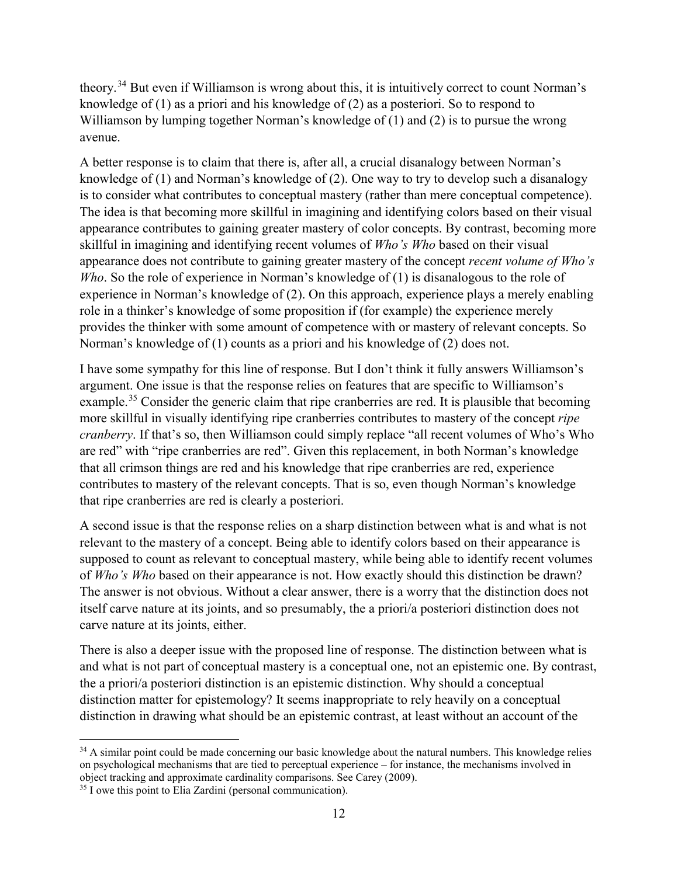theory.[34](#page-11-0) But even if Williamson is wrong about this, it is intuitively correct to count Norman's knowledge of (1) as a priori and his knowledge of (2) as a posteriori. So to respond to Williamson by lumping together Norman's knowledge of (1) and (2) is to pursue the wrong avenue.

A better response is to claim that there is, after all, a crucial disanalogy between Norman's knowledge of (1) and Norman's knowledge of (2). One way to try to develop such a disanalogy is to consider what contributes to conceptual mastery (rather than mere conceptual competence). The idea is that becoming more skillful in imagining and identifying colors based on their visual appearance contributes to gaining greater mastery of color concepts. By contrast, becoming more skillful in imagining and identifying recent volumes of *Who's Who* based on their visual appearance does not contribute to gaining greater mastery of the concept *recent volume of Who's Who*. So the role of experience in Norman's knowledge of (1) is disanalogous to the role of experience in Norman's knowledge of (2). On this approach, experience plays a merely enabling role in a thinker's knowledge of some proposition if (for example) the experience merely provides the thinker with some amount of competence with or mastery of relevant concepts. So Norman's knowledge of (1) counts as a priori and his knowledge of (2) does not.

I have some sympathy for this line of response. But I don't think it fully answers Williamson's argument. One issue is that the response relies on features that are specific to Williamson's example.<sup>[35](#page-11-1)</sup> Consider the generic claim that ripe cranberries are red. It is plausible that becoming more skillful in visually identifying ripe cranberries contributes to mastery of the concept *ripe cranberry*. If that's so, then Williamson could simply replace "all recent volumes of Who's Who are red" with "ripe cranberries are red". Given this replacement, in both Norman's knowledge that all crimson things are red and his knowledge that ripe cranberries are red, experience contributes to mastery of the relevant concepts. That is so, even though Norman's knowledge that ripe cranberries are red is clearly a posteriori.

A second issue is that the response relies on a sharp distinction between what is and what is not relevant to the mastery of a concept. Being able to identify colors based on their appearance is supposed to count as relevant to conceptual mastery, while being able to identify recent volumes of *Who's Who* based on their appearance is not. How exactly should this distinction be drawn? The answer is not obvious. Without a clear answer, there is a worry that the distinction does not itself carve nature at its joints, and so presumably, the a priori/a posteriori distinction does not carve nature at its joints, either.

There is also a deeper issue with the proposed line of response. The distinction between what is and what is not part of conceptual mastery is a conceptual one, not an epistemic one. By contrast, the a priori/a posteriori distinction is an epistemic distinction. Why should a conceptual distinction matter for epistemology? It seems inappropriate to rely heavily on a conceptual distinction in drawing what should be an epistemic contrast, at least without an account of the

<span id="page-11-0"></span><sup>&</sup>lt;sup>34</sup> A similar point could be made concerning our basic knowledge about the natural numbers. This knowledge relies on psychological mechanisms that are tied to perceptual experience – for instance, the mechanisms involved in object tracking and approximate cardinality comparisons. See Carey (2009).

<span id="page-11-1"></span><sup>&</sup>lt;sup>35</sup> I owe this point to Elia Zardini (personal communication).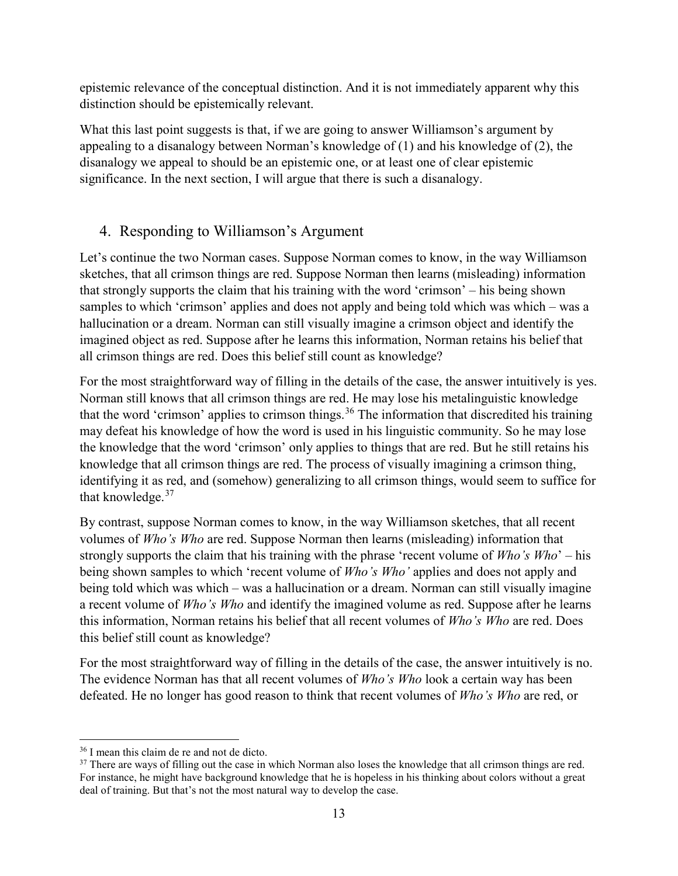epistemic relevance of the conceptual distinction. And it is not immediately apparent why this distinction should be epistemically relevant.

What this last point suggests is that, if we are going to answer Williamson's argument by appealing to a disanalogy between Norman's knowledge of (1) and his knowledge of (2), the disanalogy we appeal to should be an epistemic one, or at least one of clear epistemic significance. In the next section, I will argue that there is such a disanalogy.

## 4. Responding to Williamson's Argument

Let's continue the two Norman cases. Suppose Norman comes to know, in the way Williamson sketches, that all crimson things are red. Suppose Norman then learns (misleading) information that strongly supports the claim that his training with the word 'crimson' – his being shown samples to which 'crimson' applies and does not apply and being told which was which – was a hallucination or a dream. Norman can still visually imagine a crimson object and identify the imagined object as red. Suppose after he learns this information, Norman retains his belief that all crimson things are red. Does this belief still count as knowledge?

For the most straightforward way of filling in the details of the case, the answer intuitively is yes. Norman still knows that all crimson things are red. He may lose his metalinguistic knowledge that the word 'crimson' applies to crimson things.<sup>[36](#page-12-0)</sup> The information that discredited his training may defeat his knowledge of how the word is used in his linguistic community. So he may lose the knowledge that the word 'crimson' only applies to things that are red. But he still retains his knowledge that all crimson things are red. The process of visually imagining a crimson thing, identifying it as red, and (somehow) generalizing to all crimson things, would seem to suffice for that knowledge.<sup>[37](#page-12-1)</sup>

By contrast, suppose Norman comes to know, in the way Williamson sketches, that all recent volumes of *Who's Who* are red. Suppose Norman then learns (misleading) information that strongly supports the claim that his training with the phrase 'recent volume of *Who's Who*' – his being shown samples to which 'recent volume of *Who's Who'* applies and does not apply and being told which was which – was a hallucination or a dream. Norman can still visually imagine a recent volume of *Who's Who* and identify the imagined volume as red. Suppose after he learns this information, Norman retains his belief that all recent volumes of *Who's Who* are red. Does this belief still count as knowledge?

For the most straightforward way of filling in the details of the case, the answer intuitively is no. The evidence Norman has that all recent volumes of *Who's Who* look a certain way has been defeated. He no longer has good reason to think that recent volumes of *Who's Who* are red, or

<span id="page-12-0"></span><sup>36</sup> I mean this claim de re and not de dicto.

<span id="page-12-1"></span><sup>&</sup>lt;sup>37</sup> There are ways of filling out the case in which Norman also loses the knowledge that all crimson things are red. For instance, he might have background knowledge that he is hopeless in his thinking about colors without a great deal of training. But that's not the most natural way to develop the case.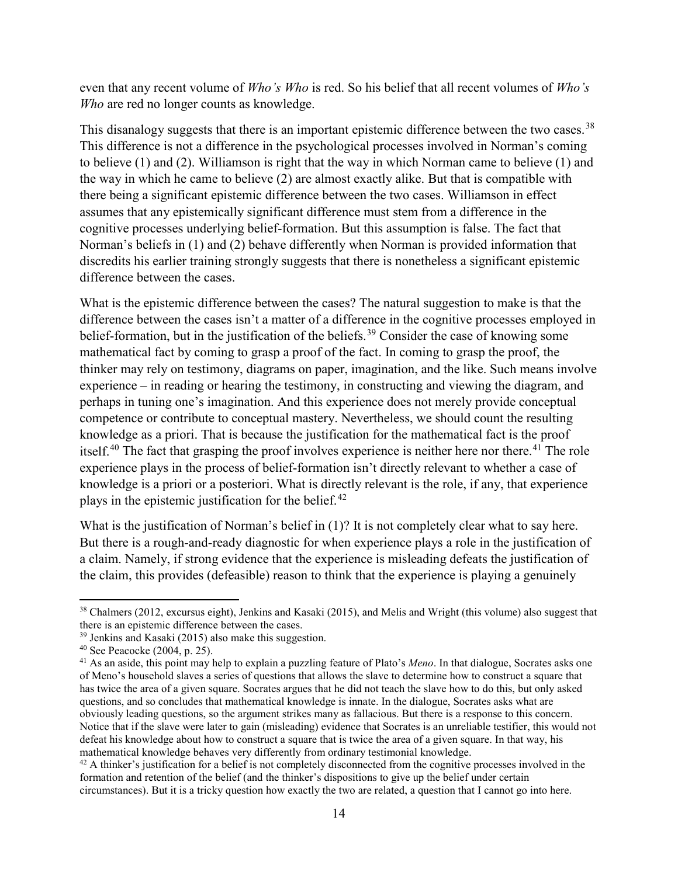even that any recent volume of *Who's Who* is red. So his belief that all recent volumes of *Who's Who* are red no longer counts as knowledge.

This disanalogy suggests that there is an important epistemic difference between the two cases.<sup>[38](#page-13-0)</sup> This difference is not a difference in the psychological processes involved in Norman's coming to believe (1) and (2). Williamson is right that the way in which Norman came to believe (1) and the way in which he came to believe (2) are almost exactly alike. But that is compatible with there being a significant epistemic difference between the two cases. Williamson in effect assumes that any epistemically significant difference must stem from a difference in the cognitive processes underlying belief-formation. But this assumption is false. The fact that Norman's beliefs in (1) and (2) behave differently when Norman is provided information that discredits his earlier training strongly suggests that there is nonetheless a significant epistemic difference between the cases.

What is the epistemic difference between the cases? The natural suggestion to make is that the difference between the cases isn't a matter of a difference in the cognitive processes employed in belief-formation, but in the justification of the beliefs.<sup>[39](#page-13-1)</sup> Consider the case of knowing some mathematical fact by coming to grasp a proof of the fact. In coming to grasp the proof, the thinker may rely on testimony, diagrams on paper, imagination, and the like. Such means involve experience – in reading or hearing the testimony, in constructing and viewing the diagram, and perhaps in tuning one's imagination. And this experience does not merely provide conceptual competence or contribute to conceptual mastery. Nevertheless, we should count the resulting knowledge as a priori. That is because the justification for the mathematical fact is the proof itself.<sup>[40](#page-13-2)</sup> The fact that grasping the proof involves experience is neither here nor there.<sup>[41](#page-13-3)</sup> The role experience plays in the process of belief-formation isn't directly relevant to whether a case of knowledge is a priori or a posteriori. What is directly relevant is the role, if any, that experience plays in the epistemic justification for the belief. $42$ 

What is the justification of Norman's belief in (1)? It is not completely clear what to say here. But there is a rough-and-ready diagnostic for when experience plays a role in the justification of a claim. Namely, if strong evidence that the experience is misleading defeats the justification of the claim, this provides (defeasible) reason to think that the experience is playing a genuinely

<span id="page-13-0"></span><sup>38</sup> Chalmers (2012, excursus eight), Jenkins and Kasaki (2015), and Melis and Wright (this volume) also suggest that there is an epistemic difference between the cases.

<span id="page-13-1"></span><sup>39</sup> Jenkins and Kasaki (2015) also make this suggestion.

<span id="page-13-2"></span><sup>40</sup> See Peacocke (2004, p. 25).

<span id="page-13-3"></span><sup>41</sup> As an aside, this point may help to explain a puzzling feature of Plato's *Meno*. In that dialogue, Socrates asks one of Meno's household slaves a series of questions that allows the slave to determine how to construct a square that has twice the area of a given square. Socrates argues that he did not teach the slave how to do this, but only asked questions, and so concludes that mathematical knowledge is innate. In the dialogue, Socrates asks what are obviously leading questions, so the argument strikes many as fallacious. But there is a response to this concern. Notice that if the slave were later to gain (misleading) evidence that Socrates is an unreliable testifier, this would not defeat his knowledge about how to construct a square that is twice the area of a given square. In that way, his mathematical knowledge behaves very differently from ordinary testimonial knowledge.

<span id="page-13-4"></span> $42$  A thinker's justification for a belief is not completely disconnected from the cognitive processes involved in the formation and retention of the belief (and the thinker's dispositions to give up the belief under certain circumstances). But it is a tricky question how exactly the two are related, a question that I cannot go into here.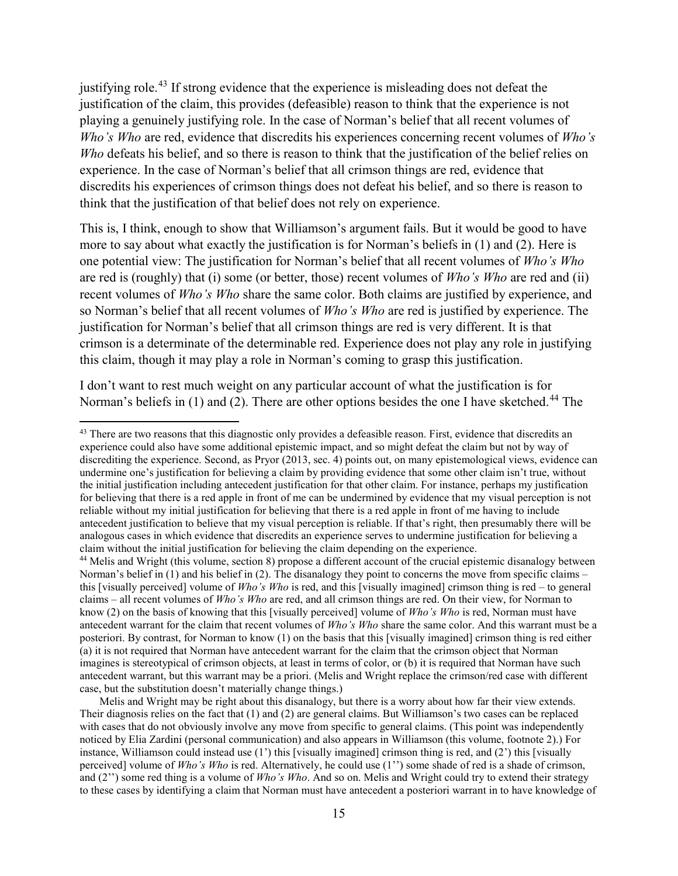justifying role.<sup>[43](#page-14-0)</sup> If strong evidence that the experience is misleading does not defeat the justification of the claim, this provides (defeasible) reason to think that the experience is not playing a genuinely justifying role. In the case of Norman's belief that all recent volumes of *Who's Who* are red, evidence that discredits his experiences concerning recent volumes of *Who's Who* defeats his belief, and so there is reason to think that the justification of the belief relies on experience. In the case of Norman's belief that all crimson things are red, evidence that discredits his experiences of crimson things does not defeat his belief, and so there is reason to think that the justification of that belief does not rely on experience.

This is, I think, enough to show that Williamson's argument fails. But it would be good to have more to say about what exactly the justification is for Norman's beliefs in (1) and (2). Here is one potential view: The justification for Norman's belief that all recent volumes of *Who's Who* are red is (roughly) that (i) some (or better, those) recent volumes of *Who's Who* are red and (ii) recent volumes of *Who's Who* share the same color. Both claims are justified by experience, and so Norman's belief that all recent volumes of *Who's Who* are red is justified by experience. The justification for Norman's belief that all crimson things are red is very different. It is that crimson is a determinate of the determinable red. Experience does not play any role in justifying this claim, though it may play a role in Norman's coming to grasp this justification.

I don't want to rest much weight on any particular account of what the justification is for Norman's beliefs in  $(1)$  and  $(2)$ . There are other options besides the one I have sketched.<sup>[44](#page-14-1)</sup> The

 $\overline{\phantom{a}}$ 

<span id="page-14-1"></span><sup>44</sup> Melis and Wright (this volume, section 8) propose a different account of the crucial epistemic disanalogy between Norman's belief in (1) and his belief in (2). The disanalogy they point to concerns the move from specific claims – this [visually perceived] volume of *Who's Who* is red, and this [visually imagined] crimson thing is red – to general claims – all recent volumes of *Who's Who* are red, and all crimson things are red. On their view, for Norman to know (2) on the basis of knowing that this [visually perceived] volume of *Who's Who* is red, Norman must have antecedent warrant for the claim that recent volumes of *Who's Who* share the same color. And this warrant must be a posteriori. By contrast, for Norman to know (1) on the basis that this [visually imagined] crimson thing is red either (a) it is not required that Norman have antecedent warrant for the claim that the crimson object that Norman imagines is stereotypical of crimson objects, at least in terms of color, or (b) it is required that Norman have such antecedent warrant, but this warrant may be a priori. (Melis and Wright replace the crimson/red case with different case, but the substitution doesn't materially change things.)

Melis and Wright may be right about this disanalogy, but there is a worry about how far their view extends. Their diagnosis relies on the fact that (1) and (2) are general claims. But Williamson's two cases can be replaced with cases that do not obviously involve any move from specific to general claims. (This point was independently noticed by Elia Zardini (personal communication) and also appears in Williamson (this volume, footnote 2).) For instance, Williamson could instead use (1') this [visually imagined] crimson thing is red, and (2') this [visually perceived] volume of *Who's Who* is red. Alternatively, he could use (1'') some shade of red is a shade of crimson, and (2'') some red thing is a volume of *Who's Who*. And so on. Melis and Wright could try to extend their strategy to these cases by identifying a claim that Norman must have antecedent a posteriori warrant in to have knowledge of

<span id="page-14-0"></span><sup>&</sup>lt;sup>43</sup> There are two reasons that this diagnostic only provides a defeasible reason. First, evidence that discredits an experience could also have some additional epistemic impact, and so might defeat the claim but not by way of discrediting the experience. Second, as Pryor (2013, sec. 4) points out, on many epistemological views, evidence can undermine one's justification for believing a claim by providing evidence that some other claim isn't true, without the initial justification including antecedent justification for that other claim. For instance, perhaps my justification for believing that there is a red apple in front of me can be undermined by evidence that my visual perception is not reliable without my initial justification for believing that there is a red apple in front of me having to include antecedent justification to believe that my visual perception is reliable. If that's right, then presumably there will be analogous cases in which evidence that discredits an experience serves to undermine justification for believing a claim without the initial justification for believing the claim depending on the experience.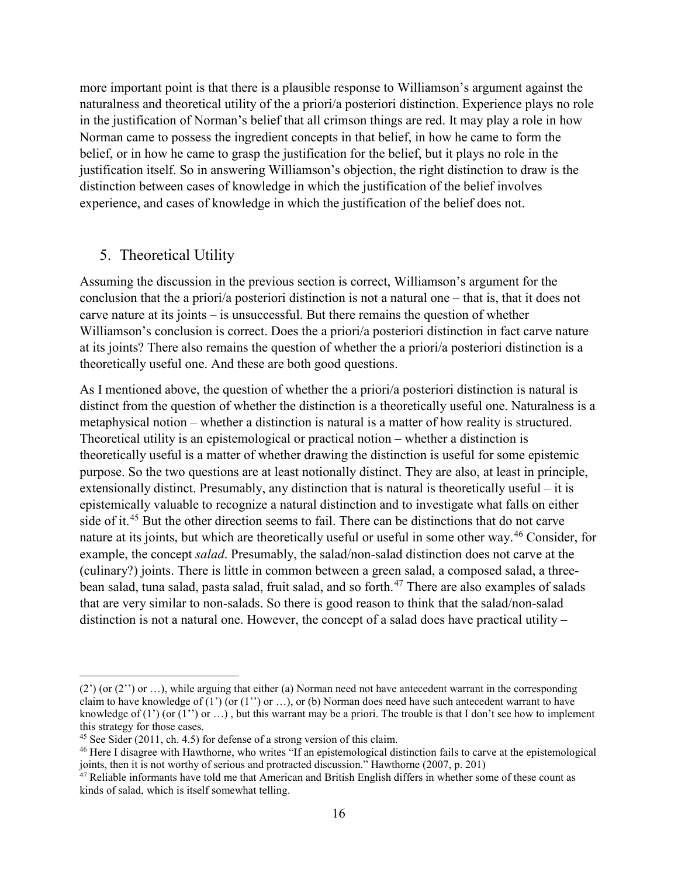more important point is that there is a plausible response to Williamson's argument against the naturalness and theoretical utility of the a priori/a posteriori distinction. Experience plays no role in the justification of Norman's belief that all crimson things are red. It may play a role in how Norman came to possess the ingredient concepts in that belief, in how he came to form the belief, or in how he came to grasp the justification for the belief, but it plays no role in the justification itself. So in answering Williamson's objection, the right distinction to draw is the distinction between cases of knowledge in which the justification of the belief involves experience, and cases of knowledge in which the justification of the belief does not.

#### 5. Theoretical Utility

l

Assuming the discussion in the previous section is correct, Williamson's argument for the conclusion that the a priori/a posteriori distinction is not a natural one – that is, that it does not carve nature at its joints – is unsuccessful. But there remains the question of whether Williamson's conclusion is correct. Does the a priori/a posteriori distinction in fact carve nature at its joints? There also remains the question of whether the a priori/a posteriori distinction is a theoretically useful one. And these are both good questions.

As I mentioned above, the question of whether the a priori/a posteriori distinction is natural is distinct from the question of whether the distinction is a theoretically useful one. Naturalness is a metaphysical notion – whether a distinction is natural is a matter of how reality is structured. Theoretical utility is an epistemological or practical notion – whether a distinction is theoretically useful is a matter of whether drawing the distinction is useful for some epistemic purpose. So the two questions are at least notionally distinct. They are also, at least in principle, extensionally distinct. Presumably, any distinction that is natural is theoretically useful – it is epistemically valuable to recognize a natural distinction and to investigate what falls on either side of it.<sup>[45](#page-15-0)</sup> But the other direction seems to fail. There can be distinctions that do not carve nature at its joints, but which are theoretically useful or useful in some other way. [46](#page-15-1) Consider, for example, the concept *salad*. Presumably, the salad/non-salad distinction does not carve at the (culinary?) joints. There is little in common between a green salad, a composed salad, a three-bean salad, tuna salad, pasta salad, fruit salad, and so forth.<sup>[47](#page-15-2)</sup> There are also examples of salads that are very similar to non-salads. So there is good reason to think that the salad/non-salad distinction is not a natural one. However, the concept of a salad does have practical utility –

 $(2')$  (or  $(2'')$  or ...), while arguing that either (a) Norman need not have antecedent warrant in the corresponding claim to have knowledge of (1') (or (1'') or ...), or (b) Norman does need have such antecedent warrant to have knowledge of  $(1')$  (or  $(1'')$  or  $\dots$ ), but this warrant may be a priori. The trouble is that I don't see how to implement this strategy for those cases.

<span id="page-15-0"></span> $45$  See Sider (2011, ch. 4.5) for defense of a strong version of this claim.

<span id="page-15-1"></span><sup>&</sup>lt;sup>46</sup> Here I disagree with Hawthorne, who writes "If an epistemological distinction fails to carve at the epistemological joints, then it is not worthy of serious and protracted discussion." Hawthorne (2007, p. 201)

<span id="page-15-2"></span><sup>&</sup>lt;sup>47</sup> Reliable informants have told me that American and British English differs in whether some of these count as kinds of salad, which is itself somewhat telling.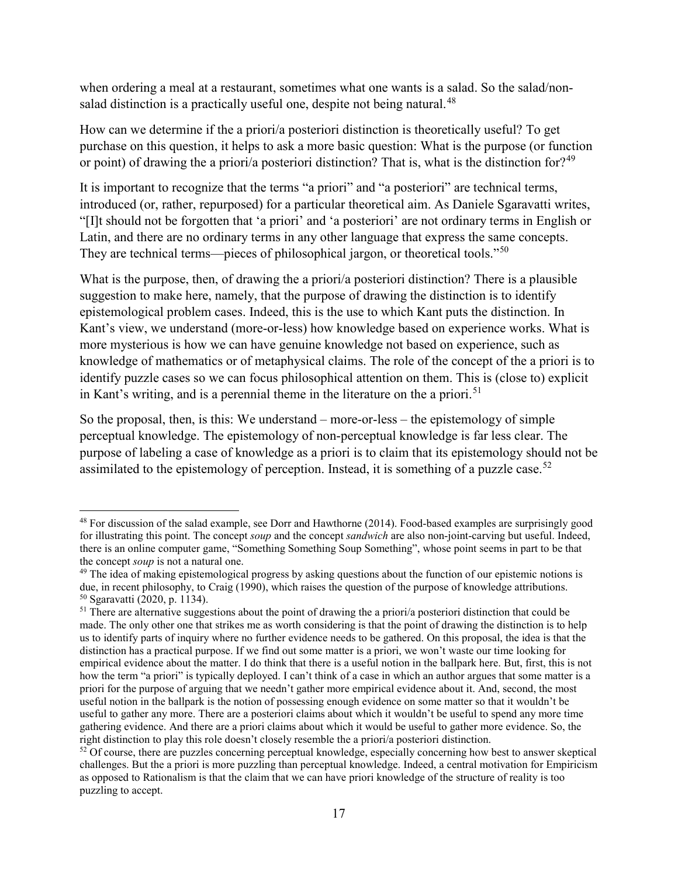when ordering a meal at a restaurant, sometimes what one wants is a salad. So the salad/non-salad distinction is a practically useful one, despite not being natural.<sup>[48](#page-16-0)</sup>

How can we determine if the a priori/a posteriori distinction is theoretically useful? To get purchase on this question, it helps to ask a more basic question: What is the purpose (or function or point) of drawing the a priori/a posteriori distinction? That is, what is the distinction for?<sup>[49](#page-16-1)</sup>

It is important to recognize that the terms "a priori" and "a posteriori" are technical terms, introduced (or, rather, repurposed) for a particular theoretical aim. As Daniele Sgaravatti writes, "[I]t should not be forgotten that 'a priori' and 'a posteriori' are not ordinary terms in English or Latin, and there are no ordinary terms in any other language that express the same concepts. They are technical terms—pieces of philosophical jargon, or theoretical tools."[50](#page-16-2)

What is the purpose, then, of drawing the a priori/a posteriori distinction? There is a plausible suggestion to make here, namely, that the purpose of drawing the distinction is to identify epistemological problem cases. Indeed, this is the use to which Kant puts the distinction. In Kant's view, we understand (more-or-less) how knowledge based on experience works. What is more mysterious is how we can have genuine knowledge not based on experience, such as knowledge of mathematics or of metaphysical claims. The role of the concept of the a priori is to identify puzzle cases so we can focus philosophical attention on them. This is (close to) explicit in Kant's writing, and is a perennial theme in the literature on the a priori.<sup>[51](#page-16-3)</sup>

So the proposal, then, is this: We understand – more-or-less – the epistemology of simple perceptual knowledge. The epistemology of non-perceptual knowledge is far less clear. The purpose of labeling a case of knowledge as a priori is to claim that its epistemology should not be assimilated to the epistemology of perception. Instead, it is something of a puzzle case.<sup>[52](#page-16-4)</sup>

<span id="page-16-0"></span><sup>48</sup> For discussion of the salad example, see Dorr and Hawthorne (2014). Food-based examples are surprisingly good for illustrating this point. The concept *soup* and the concept *sandwich* are also non-joint-carving but useful. Indeed, there is an online computer game, "Something Something Soup Something", whose point seems in part to be that the concept *soup* is not a natural one.

<span id="page-16-1"></span> $49$  The idea of making epistemological progress by asking questions about the function of our epistemic notions is due, in recent philosophy, to Craig (1990), which raises the question of the purpose of knowledge attributions. <sup>50</sup> Sgaravatti (2020, p. 1134).

<span id="page-16-3"></span><span id="page-16-2"></span><sup>&</sup>lt;sup>51</sup> There are alternative suggestions about the point of drawing the a priori/a posteriori distinction that could be made. The only other one that strikes me as worth considering is that the point of drawing the distinction is to help us to identify parts of inquiry where no further evidence needs to be gathered. On this proposal, the idea is that the distinction has a practical purpose. If we find out some matter is a priori, we won't waste our time looking for empirical evidence about the matter. I do think that there is a useful notion in the ballpark here. But, first, this is not how the term "a priori" is typically deployed. I can't think of a case in which an author argues that some matter is a priori for the purpose of arguing that we needn't gather more empirical evidence about it. And, second, the most useful notion in the ballpark is the notion of possessing enough evidence on some matter so that it wouldn't be useful to gather any more. There are a posteriori claims about which it wouldn't be useful to spend any more time gathering evidence. And there are a priori claims about which it would be useful to gather more evidence. So, the right distinction to play this role doesn't closely resemble the a priori/a posteriori distinction.

<span id="page-16-4"></span><sup>&</sup>lt;sup>52</sup> Of course, there are puzzles concerning perceptual knowledge, especially concerning how best to answer skeptical challenges. But the a priori is more puzzling than perceptual knowledge. Indeed, a central motivation for Empiricism as opposed to Rationalism is that the claim that we can have priori knowledge of the structure of reality is too puzzling to accept.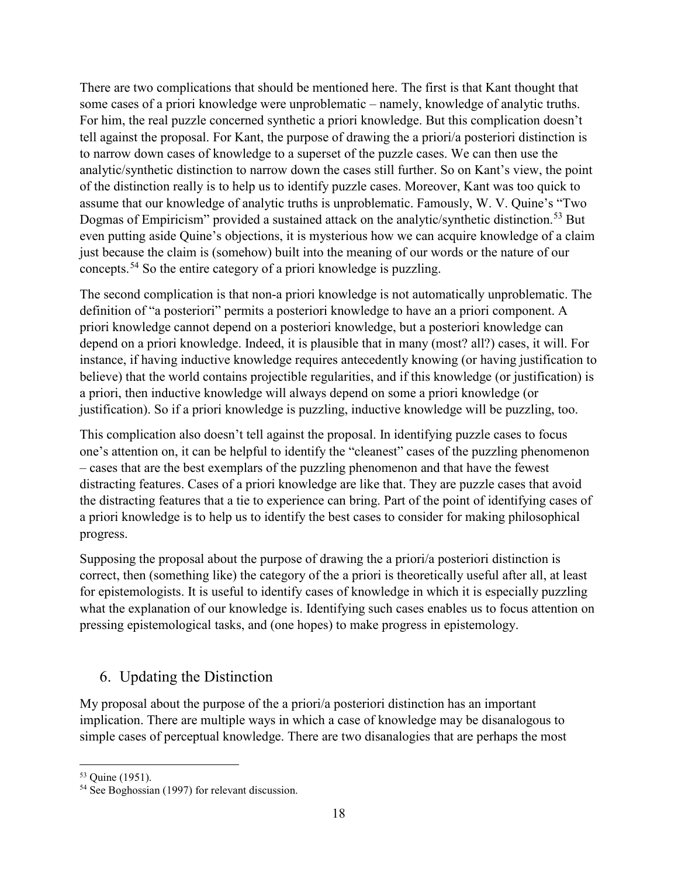There are two complications that should be mentioned here. The first is that Kant thought that some cases of a priori knowledge were unproblematic – namely, knowledge of analytic truths. For him, the real puzzle concerned synthetic a priori knowledge. But this complication doesn't tell against the proposal. For Kant, the purpose of drawing the a priori/a posteriori distinction is to narrow down cases of knowledge to a superset of the puzzle cases. We can then use the analytic/synthetic distinction to narrow down the cases still further. So on Kant's view, the point of the distinction really is to help us to identify puzzle cases. Moreover, Kant was too quick to assume that our knowledge of analytic truths is unproblematic. Famously, W. V. Quine's "Two Dogmas of Empiricism" provided a sustained attack on the analytic/synthetic distinction.<sup>[53](#page-17-0)</sup> But even putting aside Quine's objections, it is mysterious how we can acquire knowledge of a claim just because the claim is (somehow) built into the meaning of our words or the nature of our concepts.[54](#page-17-1) So the entire category of a priori knowledge is puzzling.

The second complication is that non-a priori knowledge is not automatically unproblematic. The definition of "a posteriori" permits a posteriori knowledge to have an a priori component. A priori knowledge cannot depend on a posteriori knowledge, but a posteriori knowledge can depend on a priori knowledge. Indeed, it is plausible that in many (most? all?) cases, it will. For instance, if having inductive knowledge requires antecedently knowing (or having justification to believe) that the world contains projectible regularities, and if this knowledge (or justification) is a priori, then inductive knowledge will always depend on some a priori knowledge (or justification). So if a priori knowledge is puzzling, inductive knowledge will be puzzling, too.

This complication also doesn't tell against the proposal. In identifying puzzle cases to focus one's attention on, it can be helpful to identify the "cleanest" cases of the puzzling phenomenon – cases that are the best exemplars of the puzzling phenomenon and that have the fewest distracting features. Cases of a priori knowledge are like that. They are puzzle cases that avoid the distracting features that a tie to experience can bring. Part of the point of identifying cases of a priori knowledge is to help us to identify the best cases to consider for making philosophical progress.

Supposing the proposal about the purpose of drawing the a priori/a posteriori distinction is correct, then (something like) the category of the a priori is theoretically useful after all, at least for epistemologists. It is useful to identify cases of knowledge in which it is especially puzzling what the explanation of our knowledge is. Identifying such cases enables us to focus attention on pressing epistemological tasks, and (one hopes) to make progress in epistemology.

## 6. Updating the Distinction

My proposal about the purpose of the a priori/a posteriori distinction has an important implication. There are multiple ways in which a case of knowledge may be disanalogous to simple cases of perceptual knowledge. There are two disanalogies that are perhaps the most

<span id="page-17-0"></span><sup>53</sup> Quine (1951).

<span id="page-17-1"></span><sup>54</sup> See Boghossian (1997) for relevant discussion.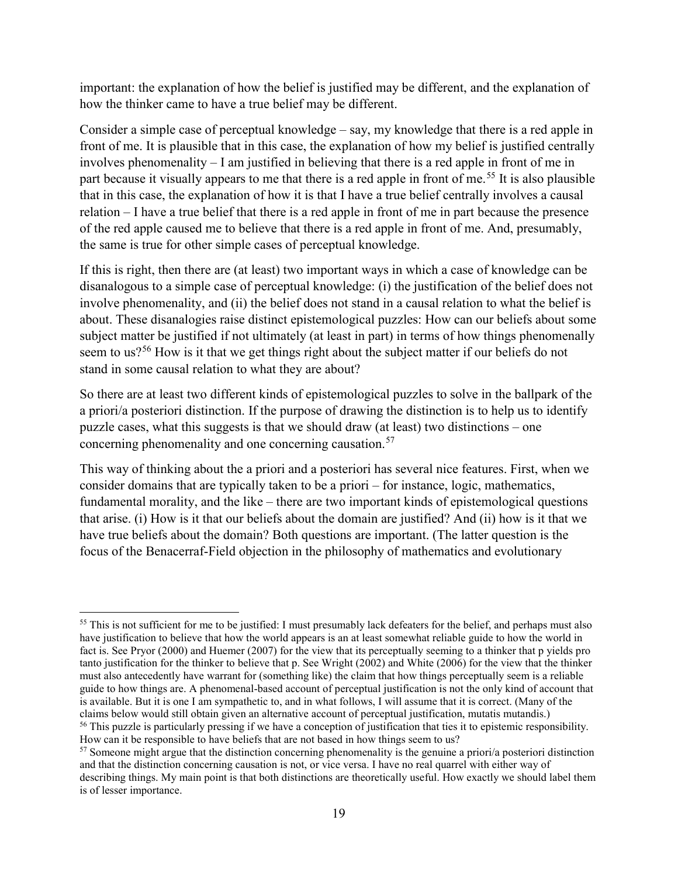important: the explanation of how the belief is justified may be different, and the explanation of how the thinker came to have a true belief may be different.

Consider a simple case of perceptual knowledge – say, my knowledge that there is a red apple in front of me. It is plausible that in this case, the explanation of how my belief is justified centrally involves phenomenality – I am justified in believing that there is a red apple in front of me in part because it visually appears to me that there is a red apple in front of me.<sup>[55](#page-18-0)</sup> It is also plausible that in this case, the explanation of how it is that I have a true belief centrally involves a causal relation – I have a true belief that there is a red apple in front of me in part because the presence of the red apple caused me to believe that there is a red apple in front of me. And, presumably, the same is true for other simple cases of perceptual knowledge.

If this is right, then there are (at least) two important ways in which a case of knowledge can be disanalogous to a simple case of perceptual knowledge: (i) the justification of the belief does not involve phenomenality, and (ii) the belief does not stand in a causal relation to what the belief is about. These disanalogies raise distinct epistemological puzzles: How can our beliefs about some subject matter be justified if not ultimately (at least in part) in terms of how things phenomenally seem to us?<sup>[56](#page-18-1)</sup> How is it that we get things right about the subject matter if our beliefs do not stand in some causal relation to what they are about?

So there are at least two different kinds of epistemological puzzles to solve in the ballpark of the a priori/a posteriori distinction. If the purpose of drawing the distinction is to help us to identify puzzle cases, what this suggests is that we should draw (at least) two distinctions – one concerning phenomenality and one concerning causation.<sup>[57](#page-18-2)</sup>

This way of thinking about the a priori and a posteriori has several nice features. First, when we consider domains that are typically taken to be a priori – for instance, logic, mathematics, fundamental morality, and the like – there are two important kinds of epistemological questions that arise. (i) How is it that our beliefs about the domain are justified? And (ii) how is it that we have true beliefs about the domain? Both questions are important. (The latter question is the focus of the Benacerraf-Field objection in the philosophy of mathematics and evolutionary

<span id="page-18-0"></span><sup>&</sup>lt;sup>55</sup> This is not sufficient for me to be justified: I must presumably lack defeaters for the belief, and perhaps must also have justification to believe that how the world appears is an at least somewhat reliable guide to how the world in fact is. See Pryor (2000) and Huemer (2007) for the view that its perceptually seeming to a thinker that p yields pro tanto justification for the thinker to believe that p. See Wright (2002) and White (2006) for the view that the thinker must also antecedently have warrant for (something like) the claim that how things perceptually seem is a reliable guide to how things are. A phenomenal-based account of perceptual justification is not the only kind of account that is available. But it is one I am sympathetic to, and in what follows, I will assume that it is correct. (Many of the claims below would still obtain given an alternative account of perceptual justification, mutatis mutandis.) <sup>56</sup> This puzzle is particularly pressing if we have a conception of justification that ties it to epistemic responsibility. How can it be responsible to have beliefs that are not based in how things seem to us?

<span id="page-18-2"></span><span id="page-18-1"></span><sup>57</sup> Someone might argue that the distinction concerning phenomenality is the genuine a priori/a posteriori distinction and that the distinction concerning causation is not, or vice versa. I have no real quarrel with either way of describing things. My main point is that both distinctions are theoretically useful. How exactly we should label them is of lesser importance.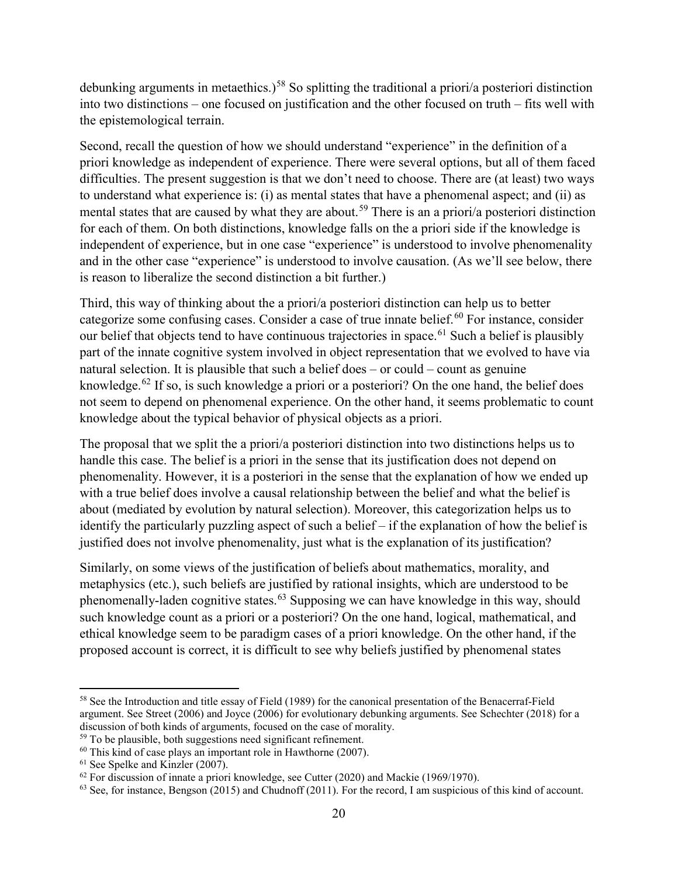debunking arguments in metaethics.)<sup>[58](#page-19-0)</sup> So splitting the traditional a priori/a posteriori distinction into two distinctions – one focused on justification and the other focused on truth – fits well with the epistemological terrain.

Second, recall the question of how we should understand "experience" in the definition of a priori knowledge as independent of experience. There were several options, but all of them faced difficulties. The present suggestion is that we don't need to choose. There are (at least) two ways to understand what experience is: (i) as mental states that have a phenomenal aspect; and (ii) as mental states that are caused by what they are about.<sup>[59](#page-19-1)</sup> There is an a priori/a posteriori distinction for each of them. On both distinctions, knowledge falls on the a priori side if the knowledge is independent of experience, but in one case "experience" is understood to involve phenomenality and in the other case "experience" is understood to involve causation. (As we'll see below, there is reason to liberalize the second distinction a bit further.)

Third, this way of thinking about the a priori/a posteriori distinction can help us to better categorize some confusing cases. Consider a case of true innate belief.<sup>[60](#page-19-2)</sup> For instance, consider our belief that objects tend to have continuous trajectories in space.<sup>[61](#page-19-3)</sup> Such a belief is plausibly part of the innate cognitive system involved in object representation that we evolved to have via natural selection. It is plausible that such a belief does – or could – count as genuine knowledge.<sup>[62](#page-19-4)</sup> If so, is such knowledge a priori or a posteriori? On the one hand, the belief does not seem to depend on phenomenal experience. On the other hand, it seems problematic to count knowledge about the typical behavior of physical objects as a priori.

The proposal that we split the a priori/a posteriori distinction into two distinctions helps us to handle this case. The belief is a priori in the sense that its justification does not depend on phenomenality. However, it is a posteriori in the sense that the explanation of how we ended up with a true belief does involve a causal relationship between the belief and what the belief is about (mediated by evolution by natural selection). Moreover, this categorization helps us to identify the particularly puzzling aspect of such a belief – if the explanation of how the belief is justified does not involve phenomenality, just what is the explanation of its justification?

Similarly, on some views of the justification of beliefs about mathematics, morality, and metaphysics (etc.), such beliefs are justified by rational insights, which are understood to be phenomenally-laden cognitive states.<sup>[63](#page-19-5)</sup> Supposing we can have knowledge in this way, should such knowledge count as a priori or a posteriori? On the one hand, logical, mathematical, and ethical knowledge seem to be paradigm cases of a priori knowledge. On the other hand, if the proposed account is correct, it is difficult to see why beliefs justified by phenomenal states

<span id="page-19-0"></span><sup>&</sup>lt;sup>58</sup> See the Introduction and title essay of Field (1989) for the canonical presentation of the Benacerraf-Field argument. See Street (2006) and Joyce (2006) for evolutionary debunking arguments. See Schechter (2018) for a discussion of both kinds of arguments, focused on the case of morality.

<span id="page-19-1"></span><sup>&</sup>lt;sup>59</sup> To be plausible, both suggestions need significant refinement.

<span id="page-19-2"></span><sup>60</sup> This kind of case plays an important role in Hawthorne (2007).

<span id="page-19-3"></span> $61$  See Spelke and Kinzler (2007).

<span id="page-19-4"></span> $62$  For discussion of innate a priori knowledge, see Cutter (2020) and Mackie (1969/1970).

<span id="page-19-5"></span> $63$  See, for instance, Bengson (2015) and Chudnoff (2011). For the record, I am suspicious of this kind of account.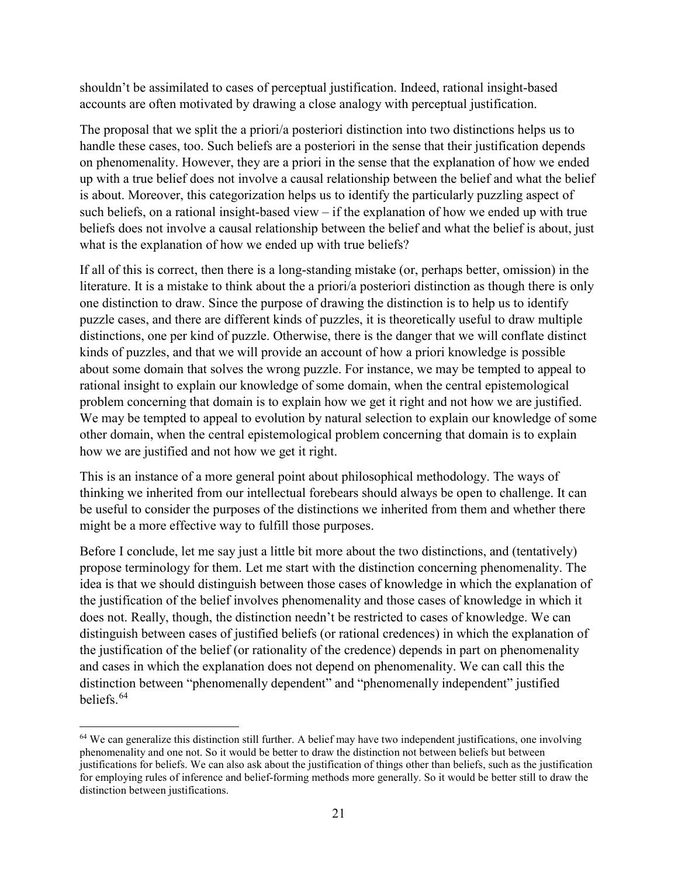shouldn't be assimilated to cases of perceptual justification. Indeed, rational insight-based accounts are often motivated by drawing a close analogy with perceptual justification.

The proposal that we split the a priori/a posteriori distinction into two distinctions helps us to handle these cases, too. Such beliefs are a posteriori in the sense that their justification depends on phenomenality. However, they are a priori in the sense that the explanation of how we ended up with a true belief does not involve a causal relationship between the belief and what the belief is about. Moreover, this categorization helps us to identify the particularly puzzling aspect of such beliefs, on a rational insight-based view – if the explanation of how we ended up with true beliefs does not involve a causal relationship between the belief and what the belief is about, just what is the explanation of how we ended up with true beliefs?

If all of this is correct, then there is a long-standing mistake (or, perhaps better, omission) in the literature. It is a mistake to think about the a priori/a posteriori distinction as though there is only one distinction to draw. Since the purpose of drawing the distinction is to help us to identify puzzle cases, and there are different kinds of puzzles, it is theoretically useful to draw multiple distinctions, one per kind of puzzle. Otherwise, there is the danger that we will conflate distinct kinds of puzzles, and that we will provide an account of how a priori knowledge is possible about some domain that solves the wrong puzzle. For instance, we may be tempted to appeal to rational insight to explain our knowledge of some domain, when the central epistemological problem concerning that domain is to explain how we get it right and not how we are justified. We may be tempted to appeal to evolution by natural selection to explain our knowledge of some other domain, when the central epistemological problem concerning that domain is to explain how we are justified and not how we get it right.

This is an instance of a more general point about philosophical methodology. The ways of thinking we inherited from our intellectual forebears should always be open to challenge. It can be useful to consider the purposes of the distinctions we inherited from them and whether there might be a more effective way to fulfill those purposes.

Before I conclude, let me say just a little bit more about the two distinctions, and (tentatively) propose terminology for them. Let me start with the distinction concerning phenomenality. The idea is that we should distinguish between those cases of knowledge in which the explanation of the justification of the belief involves phenomenality and those cases of knowledge in which it does not. Really, though, the distinction needn't be restricted to cases of knowledge. We can distinguish between cases of justified beliefs (or rational credences) in which the explanation of the justification of the belief (or rationality of the credence) depends in part on phenomenality and cases in which the explanation does not depend on phenomenality. We can call this the distinction between "phenomenally dependent" and "phenomenally independent" justified beliefs.[64](#page-20-0)

 $\overline{\phantom{a}}$ 

<span id="page-20-0"></span> $64$  We can generalize this distinction still further. A belief may have two independent justifications, one involving phenomenality and one not. So it would be better to draw the distinction not between beliefs but between justifications for beliefs. We can also ask about the justification of things other than beliefs, such as the justification for employing rules of inference and belief-forming methods more generally. So it would be better still to draw the distinction between justifications.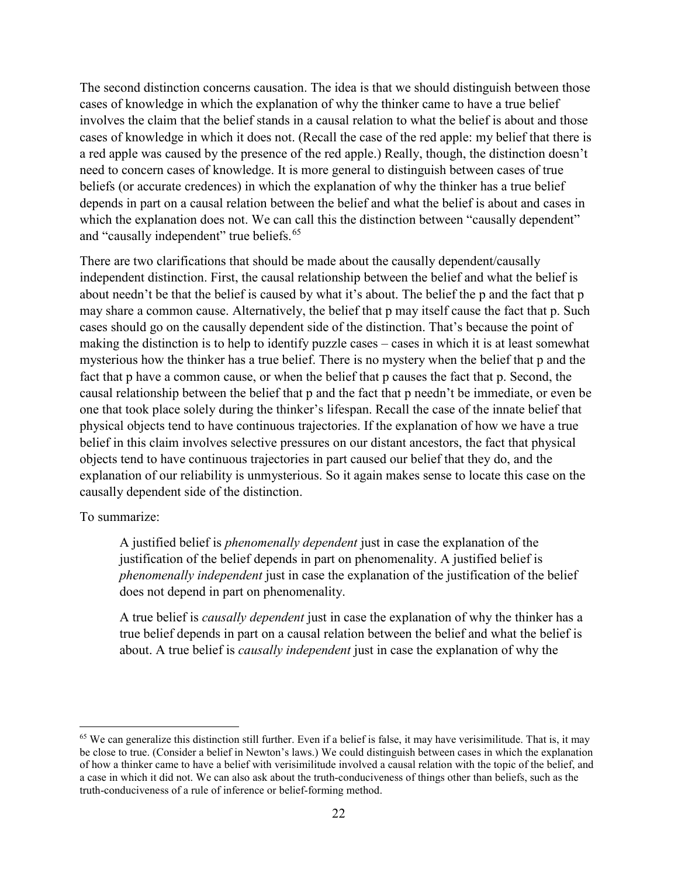The second distinction concerns causation. The idea is that we should distinguish between those cases of knowledge in which the explanation of why the thinker came to have a true belief involves the claim that the belief stands in a causal relation to what the belief is about and those cases of knowledge in which it does not. (Recall the case of the red apple: my belief that there is a red apple was caused by the presence of the red apple.) Really, though, the distinction doesn't need to concern cases of knowledge. It is more general to distinguish between cases of true beliefs (or accurate credences) in which the explanation of why the thinker has a true belief depends in part on a causal relation between the belief and what the belief is about and cases in which the explanation does not. We can call this the distinction between "causally dependent" and "causally independent" true beliefs.<sup>[65](#page-21-0)</sup>

There are two clarifications that should be made about the causally dependent/causally independent distinction. First, the causal relationship between the belief and what the belief is about needn't be that the belief is caused by what it's about. The belief the p and the fact that p may share a common cause. Alternatively, the belief that p may itself cause the fact that p. Such cases should go on the causally dependent side of the distinction. That's because the point of making the distinction is to help to identify puzzle cases – cases in which it is at least somewhat mysterious how the thinker has a true belief. There is no mystery when the belief that p and the fact that p have a common cause, or when the belief that p causes the fact that p. Second, the causal relationship between the belief that p and the fact that p needn't be immediate, or even be one that took place solely during the thinker's lifespan. Recall the case of the innate belief that physical objects tend to have continuous trajectories. If the explanation of how we have a true belief in this claim involves selective pressures on our distant ancestors, the fact that physical objects tend to have continuous trajectories in part caused our belief that they do, and the explanation of our reliability is unmysterious. So it again makes sense to locate this case on the causally dependent side of the distinction.

#### To summarize:

 $\overline{\phantom{a}}$ 

A justified belief is *phenomenally dependent* just in case the explanation of the justification of the belief depends in part on phenomenality. A justified belief is *phenomenally independent* just in case the explanation of the justification of the belief does not depend in part on phenomenality.

A true belief is *causally dependent* just in case the explanation of why the thinker has a true belief depends in part on a causal relation between the belief and what the belief is about. A true belief is *causally independent* just in case the explanation of why the

<span id="page-21-0"></span> $65$  We can generalize this distinction still further. Even if a belief is false, it may have verisimilitude. That is, it may be close to true. (Consider a belief in Newton's laws.) We could distinguish between cases in which the explanation of how a thinker came to have a belief with verisimilitude involved a causal relation with the topic of the belief, and a case in which it did not. We can also ask about the truth-conduciveness of things other than beliefs, such as the truth-conduciveness of a rule of inference or belief-forming method.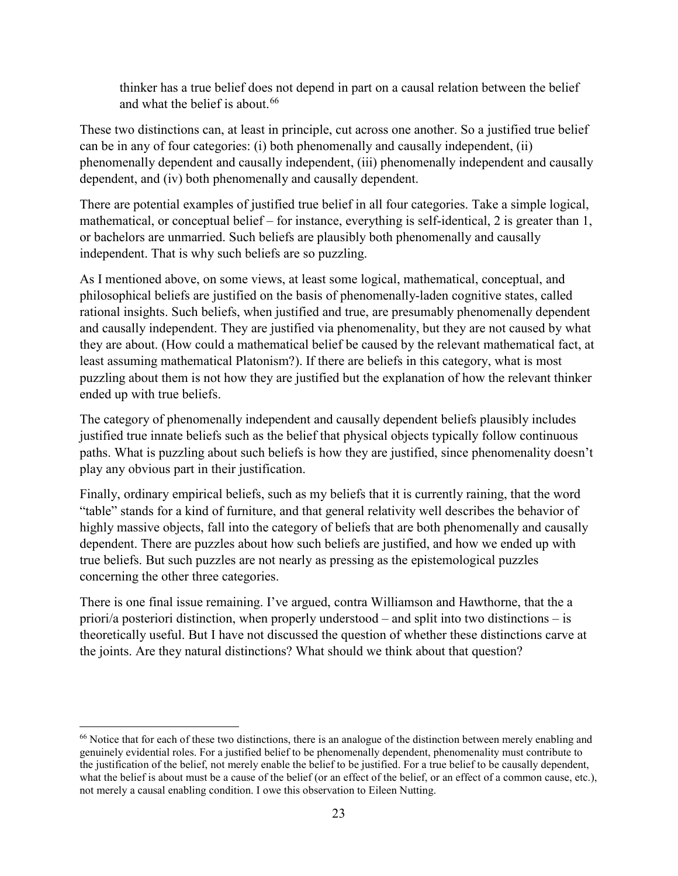thinker has a true belief does not depend in part on a causal relation between the belief and what the belief is about. [66](#page-22-0)

These two distinctions can, at least in principle, cut across one another. So a justified true belief can be in any of four categories: (i) both phenomenally and causally independent, (ii) phenomenally dependent and causally independent, (iii) phenomenally independent and causally dependent, and (iv) both phenomenally and causally dependent.

There are potential examples of justified true belief in all four categories. Take a simple logical, mathematical, or conceptual belief – for instance, everything is self-identical, 2 is greater than 1, or bachelors are unmarried. Such beliefs are plausibly both phenomenally and causally independent. That is why such beliefs are so puzzling.

As I mentioned above, on some views, at least some logical, mathematical, conceptual, and philosophical beliefs are justified on the basis of phenomenally-laden cognitive states, called rational insights. Such beliefs, when justified and true, are presumably phenomenally dependent and causally independent. They are justified via phenomenality, but they are not caused by what they are about. (How could a mathematical belief be caused by the relevant mathematical fact, at least assuming mathematical Platonism?). If there are beliefs in this category, what is most puzzling about them is not how they are justified but the explanation of how the relevant thinker ended up with true beliefs.

The category of phenomenally independent and causally dependent beliefs plausibly includes justified true innate beliefs such as the belief that physical objects typically follow continuous paths. What is puzzling about such beliefs is how they are justified, since phenomenality doesn't play any obvious part in their justification.

Finally, ordinary empirical beliefs, such as my beliefs that it is currently raining, that the word "table" stands for a kind of furniture, and that general relativity well describes the behavior of highly massive objects, fall into the category of beliefs that are both phenomenally and causally dependent. There are puzzles about how such beliefs are justified, and how we ended up with true beliefs. But such puzzles are not nearly as pressing as the epistemological puzzles concerning the other three categories.

There is one final issue remaining. I've argued, contra Williamson and Hawthorne, that the a priori/a posteriori distinction, when properly understood – and split into two distinctions – is theoretically useful. But I have not discussed the question of whether these distinctions carve at the joints. Are they natural distinctions? What should we think about that question?

 $\overline{\phantom{a}}$ 

<span id="page-22-0"></span><sup>&</sup>lt;sup>66</sup> Notice that for each of these two distinctions, there is an analogue of the distinction between merely enabling and genuinely evidential roles. For a justified belief to be phenomenally dependent, phenomenality must contribute to the justification of the belief, not merely enable the belief to be justified. For a true belief to be causally dependent, what the belief is about must be a cause of the belief (or an effect of the belief, or an effect of a common cause, etc.), not merely a causal enabling condition. I owe this observation to Eileen Nutting.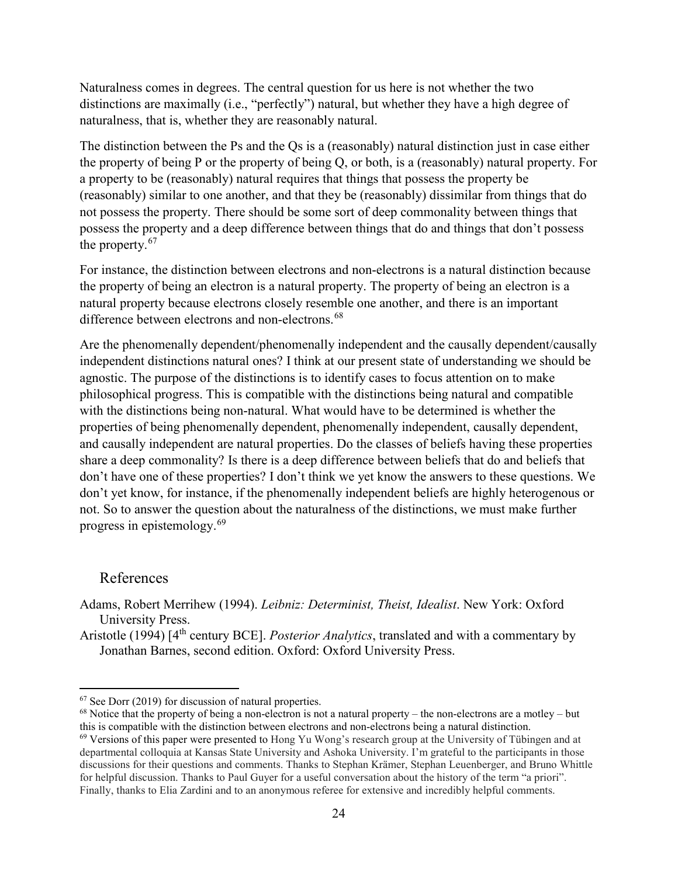Naturalness comes in degrees. The central question for us here is not whether the two distinctions are maximally (i.e., "perfectly") natural, but whether they have a high degree of naturalness, that is, whether they are reasonably natural.

The distinction between the Ps and the Qs is a (reasonably) natural distinction just in case either the property of being P or the property of being Q, or both, is a (reasonably) natural property. For a property to be (reasonably) natural requires that things that possess the property be (reasonably) similar to one another, and that they be (reasonably) dissimilar from things that do not possess the property. There should be some sort of deep commonality between things that possess the property and a deep difference between things that do and things that don't possess the property.<sup>[67](#page-23-0)</sup>

For instance, the distinction between electrons and non-electrons is a natural distinction because the property of being an electron is a natural property. The property of being an electron is a natural property because electrons closely resemble one another, and there is an important difference between electrons and non-electrons.<sup>[68](#page-23-1)</sup>

Are the phenomenally dependent/phenomenally independent and the causally dependent/causally independent distinctions natural ones? I think at our present state of understanding we should be agnostic. The purpose of the distinctions is to identify cases to focus attention on to make philosophical progress. This is compatible with the distinctions being natural and compatible with the distinctions being non-natural. What would have to be determined is whether the properties of being phenomenally dependent, phenomenally independent, causally dependent, and causally independent are natural properties. Do the classes of beliefs having these properties share a deep commonality? Is there is a deep difference between beliefs that do and beliefs that don't have one of these properties? I don't think we yet know the answers to these questions. We don't yet know, for instance, if the phenomenally independent beliefs are highly heterogenous or not. So to answer the question about the naturalness of the distinctions, we must make further progress in epistemology.[69](#page-23-2)

#### References

Adams, Robert Merrihew (1994). *Leibniz: Determinist, Theist, Idealist*. New York: Oxford University Press.

Aristotle (1994) [4th century BCE]. *Posterior Analytics*, translated and with a commentary by Jonathan Barnes, second edition. Oxford: Oxford University Press.

<span id="page-23-0"></span> $67$  See Dorr (2019) for discussion of natural properties.

<span id="page-23-1"></span> $68$  Notice that the property of being a non-electron is not a natural property – the non-electrons are a motley – but this is compatible with the distinction between electrons and non-electrons being a natural distinction.

<span id="page-23-2"></span> $69$  Versions of this paper were presented to Hong Yu Wong's research group at the University of Tübingen and at departmental colloquia at Kansas State University and Ashoka University. I'm grateful to the participants in those discussions for their questions and comments. Thanks to Stephan Krämer, Stephan Leuenberger, and Bruno Whittle for helpful discussion. Thanks to Paul Guyer for a useful conversation about the history of the term "a priori". Finally, thanks to Elia Zardini and to an anonymous referee for extensive and incredibly helpful comments.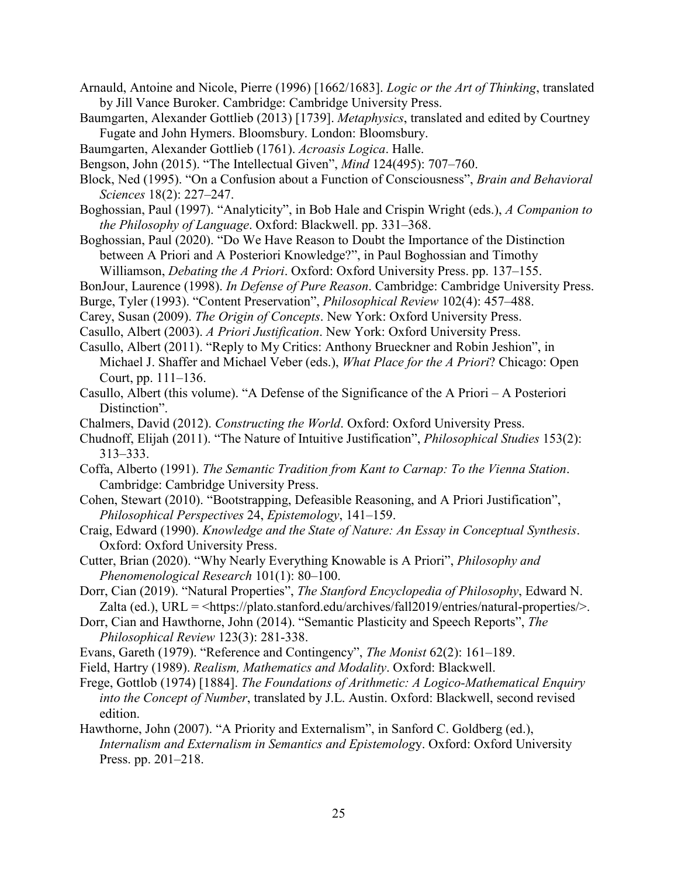- Arnauld, Antoine and Nicole, Pierre (1996) [1662/1683]. *Logic or the Art of Thinking*, translated by Jill Vance Buroker. Cambridge: Cambridge University Press.
- Baumgarten, Alexander Gottlieb (2013) [1739]. *Metaphysics*, translated and edited by Courtney Fugate and John Hymers. Bloomsbury. London: Bloomsbury.
- Baumgarten, Alexander Gottlieb (1761). *Acroasis Logica*. Halle.
- Bengson, John (2015). "The Intellectual Given", *Mind* 124(495): 707–760.
- Block, Ned (1995). "On a Confusion about a Function of Consciousness", *Brain and Behavioral Sciences* 18(2): 227–247.
- Boghossian, Paul (1997). "Analyticity", in Bob Hale and Crispin Wright (eds.), *A Companion to the Philosophy of Language*. Oxford: Blackwell. pp. 331–368.
- Boghossian, Paul (2020). "Do We Have Reason to Doubt the Importance of the Distinction between A Priori and A Posteriori Knowledge?", in Paul Boghossian and Timothy Williamson, *Debating the A Priori*. Oxford: Oxford University Press. pp. 137–155.
- BonJour, Laurence (1998). *In Defense of Pure Reason*. Cambridge: Cambridge University Press.
- Burge, Tyler (1993). "Content Preservation", *Philosophical Review* 102(4): 457–488.
- Carey, Susan (2009). *The Origin of Concepts*. New York: Oxford University Press.
- Casullo, Albert (2003). *A Priori Justification*. New York: Oxford University Press.
- Casullo, Albert (2011). "Reply to My Critics: Anthony Brueckner and Robin Jeshion", in Michael J. Shaffer and Michael Veber (eds.), *What Place for the A Priori*? Chicago: Open Court, pp. 111–136.
- Casullo, Albert (this volume). "A Defense of the Significance of the A Priori A Posteriori Distinction".
- Chalmers, David (2012). *Constructing the World*. Oxford: Oxford University Press.
- Chudnoff, Elijah (2011). "The Nature of Intuitive Justification", *Philosophical Studies* 153(2): 313–333.
- Coffa, Alberto (1991). *The Semantic Tradition from Kant to Carnap: To the Vienna Station*. Cambridge: Cambridge University Press.
- Cohen, Stewart (2010). "Bootstrapping, Defeasible Reasoning, and A Priori Justification", *Philosophical Perspectives* 24, *Epistemology*, 141–159.
- Craig, Edward (1990). *Knowledge and the State of Nature: An Essay in Conceptual Synthesis*. Oxford: Oxford University Press.
- Cutter, Brian (2020). "Why Nearly Everything Knowable is A Priori", *Philosophy and Phenomenological Research* 101(1): 80–100.
- Dorr, Cian (2019). "Natural Properties", *The Stanford Encyclopedia of Philosophy*, Edward N. Zalta (ed.), URL =  $\langle$ https://plato.stanford.edu/archives/fall2019/entries/natural-properties/>.
- Dorr, Cian and Hawthorne, John (2014). "Semantic Plasticity and Speech Reports", *The Philosophical Review* 123(3): 281-338.
- Evans, Gareth (1979). "Reference and Contingency", *The Monist* 62(2): 161–189.
- Field, Hartry (1989). *Realism, Mathematics and Modality*. Oxford: Blackwell.
- Frege, Gottlob (1974) [1884]. *The Foundations of Arithmetic: A Logico-Mathematical Enquiry into the Concept of Number*, translated by J.L. Austin. Oxford: Blackwell, second revised edition.
- Hawthorne, John (2007). "A Priority and Externalism", in Sanford C. Goldberg (ed.), *Internalism and Externalism in Semantics and Epistemolog*y. Oxford: Oxford University Press. pp. 201–218.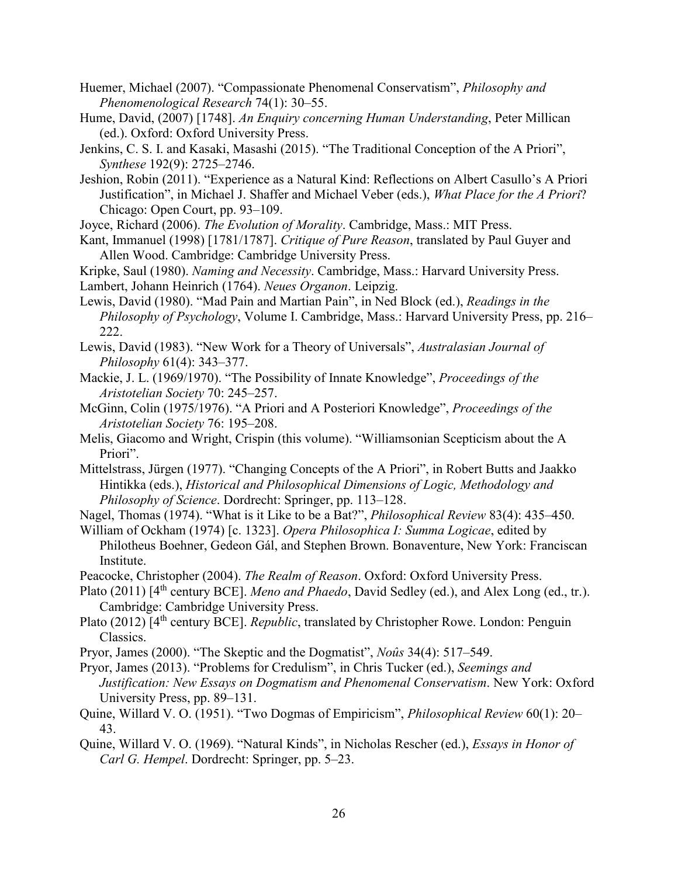- Huemer, Michael (2007). "Compassionate Phenomenal Conservatism", *Philosophy and Phenomenological Research* 74(1): 30–55.
- Hume, David, (2007) [1748]. *An Enquiry concerning Human Understanding*, Peter Millican (ed.). Oxford: Oxford University Press.
- Jenkins, C. S. I. and Kasaki, Masashi (2015). "The Traditional Conception of the A Priori", *Synthese* 192(9): 2725–2746.
- Jeshion, Robin (2011). "Experience as a Natural Kind: Reflections on Albert Casullo's A Priori Justification", in Michael J. Shaffer and Michael Veber (eds.), *What Place for the A Priori*? Chicago: Open Court, pp. 93–109.
- Joyce, Richard (2006). *The Evolution of Morality*. Cambridge, Mass.: MIT Press.
- Kant, Immanuel (1998) [1781/1787]. *Critique of Pure Reason*, translated by Paul Guyer and Allen Wood. Cambridge: Cambridge University Press.
- Kripke, Saul (1980). *Naming and Necessity*. Cambridge, Mass.: Harvard University Press. Lambert, Johann Heinrich (1764). *Neues Organon*. Leipzig.
- Lewis, David (1980). "Mad Pain and Martian Pain", in Ned Block (ed.), *Readings in the Philosophy of Psychology*, Volume I. Cambridge, Mass.: Harvard University Press, pp. 216– 222.
- Lewis, David (1983). "New Work for a Theory of Universals", *Australasian Journal of Philosophy* 61(4): 343–377.
- Mackie, J. L. (1969/1970). "The Possibility of Innate Knowledge", *Proceedings of the Aristotelian Society* 70: 245–257.
- McGinn, Colin (1975/1976). "A Priori and A Posteriori Knowledge", *Proceedings of the Aristotelian Society* 76: 195–208.
- Melis, Giacomo and Wright, Crispin (this volume). "Williamsonian Scepticism about the A Priori".
- Mittelstrass, Jürgen (1977). "Changing Concepts of the A Priori", in Robert Butts and Jaakko Hintikka (eds.), *Historical and Philosophical Dimensions of Logic, Methodology and Philosophy of Science*. Dordrecht: Springer, pp. 113–128.
- Nagel, Thomas (1974). "What is it Like to be a Bat?", *Philosophical Review* 83(4): 435–450.
- William of Ockham (1974) [c. 1323]. *Opera Philosophica I: Summa Logicae*, edited by Philotheus Boehner, Gedeon Gál, and Stephen Brown. Bonaventure, New York: Franciscan Institute.
- Peacocke, Christopher (2004). *The Realm of Reason*. Oxford: Oxford University Press.
- Plato (2011) [4<sup>th</sup> century BCE]. *Meno and Phaedo*, David Sedley (ed.), and Alex Long (ed., tr.). Cambridge: Cambridge University Press.
- Plato (2012) [4<sup>th</sup> century BCE]. *Republic*, translated by Christopher Rowe. London: Penguin Classics.
- Pryor, James (2000). "The Skeptic and the Dogmatist", *Noûs* 34(4): 517–549.
- Pryor, James (2013). "Problems for Credulism", in Chris Tucker (ed.), *Seemings and Justification: New Essays on Dogmatism and Phenomenal Conservatism*. New York: Oxford University Press, pp. 89–131.
- Quine, Willard V. O. (1951). "Two Dogmas of Empiricism", *Philosophical Review* 60(1): 20– 43.
- Quine, Willard V. O. (1969). "Natural Kinds", in Nicholas Rescher (ed.), *Essays in Honor of Carl G. Hempel*. Dordrecht: Springer, pp. 5–23.